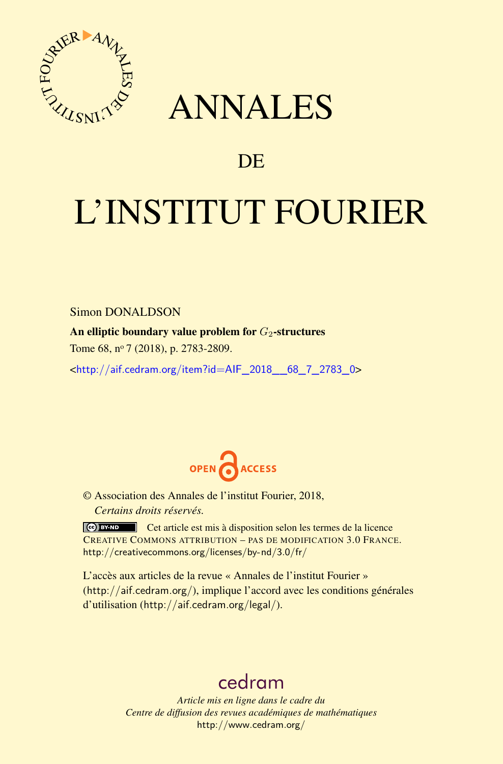

## ANNALES

### **DE**

# L'INSTITUT FOURIER

Simon DONALDSON

An elliptic boundary value problem for *G*<sub>2</sub>-structures

Tome 68, nº 7 (2018), p. 2783-2809.

<[http://aif.cedram.org/item?id=AIF\\_2018\\_\\_68\\_7\\_2783\\_0](http://aif.cedram.org/item?id=AIF_2018__68_7_2783_0)>



© Association des Annales de l'institut Fourier, 2018, *Certains droits réservés.*

Cet article est mis à disposition selon les termes de la licence CREATIVE COMMONS ATTRIBUTION – PAS DE MODIFICATION 3.0 FRANCE. <http://creativecommons.org/licenses/by-nd/3.0/fr/>

L'accès aux articles de la revue « Annales de l'institut Fourier » (<http://aif.cedram.org/>), implique l'accord avec les conditions générales d'utilisation (<http://aif.cedram.org/legal/>).

## [cedram](http://www.cedram.org/)

*Article mis en ligne dans le cadre du Centre de diffusion des revues académiques de mathématiques* <http://www.cedram.org/>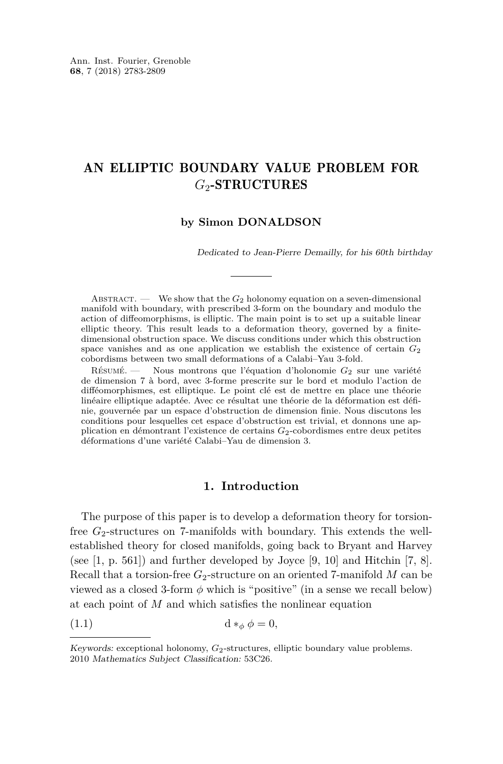#### AN ELLIPTIC BOUNDARY VALUE PROBLEM FOR *G*2-STRUCTURES

#### **by Simon DONALDSON**

Dedicated to Jean-Pierre Demailly, for his 60th birthday

ABSTRACT. — We show that the  $G_2$  holonomy equation on a seven-dimensional manifold with boundary, with prescribed 3-form on the boundary and modulo the action of diffeomorphisms, is elliptic. The main point is to set up a suitable linear elliptic theory. This result leads to a deformation theory, governed by a finitedimensional obstruction space. We discuss conditions under which this obstruction space vanishes and as one application we establish the existence of certain  $G_2$ cobordisms between two small deformations of a Calabi–Yau 3-fold.

Résumé. — Nous montrons que l'équation d'holonomie *G*<sup>2</sup> sur une variété de dimension 7 à bord, avec 3-forme prescrite sur le bord et modulo l'action de difféomorphismes, est elliptique. Le point clé est de mettre en place une théorie linéaire elliptique adaptée. Avec ce résultat une théorie de la déformation est définie, gouvernée par un espace d'obstruction de dimension finie. Nous discutons les conditions pour lesquelles cet espace d'obstruction est trivial, et donnons une application en démontrant l'existence de certains *G*2-cobordismes entre deux petites déformations d'une variété Calabi–Yau de dimension 3.

#### <span id="page-1-0"></span>**1. Introduction**

The purpose of this paper is to develop a deformation theory for torsionfree  $G_2$ -structures on 7-manifolds with boundary. This extends the wellestablished theory for closed manifolds, going back to Bryant and Harvey (see  $[1, p. 561]$  $[1, p. 561]$ ) and further developed by Joyce  $[9, 10]$  $[9, 10]$  $[9, 10]$  and Hitchin  $[7, 8]$  $[7, 8]$  $[7, 8]$ . Recall that a torsion-free  $G_2$ -structure on an oriented 7-manifold M can be viewed as a closed 3-form  $\phi$  which is "positive" (in a sense we recall below) at each point of *M* and which satisfies the nonlinear equation

$$
(1.1) \t\t d *_{\phi} \phi = 0,
$$

Keywords: exceptional holonomy, *G*2-structures, elliptic boundary value problems. 2010 Mathematics Subject Classification: 53C26.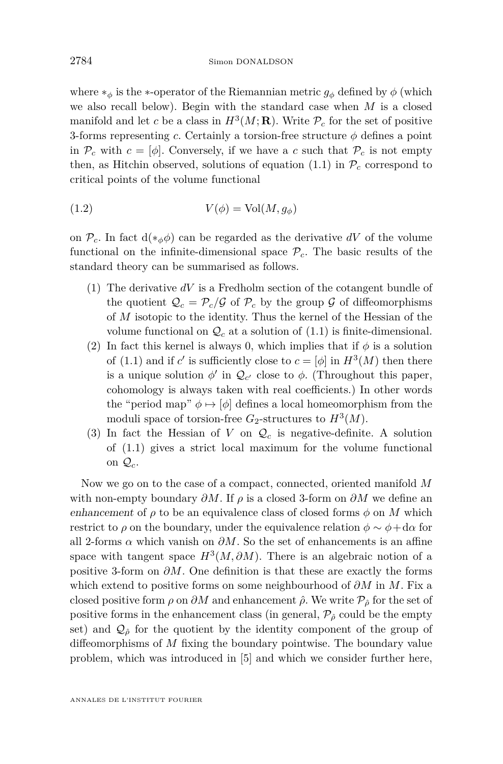where  $*_\phi$  is the  $*$ -operator of the Riemannian metric  $g_\phi$  defined by  $\phi$  (which we also recall below). Begin with the standard case when *M* is a closed manifold and let *c* be a class in  $H^3(M; \mathbf{R})$ . Write  $\mathcal{P}_c$  for the set of positive 3-forms representing *c*. Certainly a torsion-free structure  $\phi$  defines a point in  $\mathcal{P}_c$  with  $c = [\phi]$ . Conversely, if we have a c such that  $\mathcal{P}_c$  is not empty then, as Hitchin observed, solutions of equation  $(1.1)$  in  $\mathcal{P}_c$  correspond to critical points of the volume functional

<span id="page-2-0"></span>
$$
(1.2) \t\t V(\phi) = Vol(M, g_{\phi})
$$

on  $\mathcal{P}_c$ . In fact  $d(*_{\phi}\phi)$  can be regarded as the derivative dV of the volume functional on the infinite-dimensional space  $\mathcal{P}_c$ . The basic results of the standard theory can be summarised as follows.

- (1) The derivative *dV* is a Fredholm section of the cotangent bundle of the quotient  $Q_c = \mathcal{P}_c/\mathcal{G}$  of  $\mathcal{P}_c$  by the group  $\mathcal{G}$  of diffeomorphisms of *M* isotopic to the identity. Thus the kernel of the Hessian of the volume functional on  $\mathcal{Q}_c$  at a solution of  $(1.1)$  is finite-dimensional.
- (2) In fact this kernel is always 0, which implies that if  $\phi$  is a solution of [\(1.1\)](#page-1-0) and if *c*' is sufficiently close to  $c = [\phi]$  in  $H^3(M)$  then there is a unique solution  $\phi'$  in  $\mathcal{Q}_{c'}$  close to  $\phi$ . (Throughout this paper, cohomology is always taken with real coefficients.) In other words the "period map"  $\phi \mapsto [\phi]$  defines a local homeomorphism from the moduli space of torsion-free  $G_2$ -structures to  $H^3(M)$ .
- (3) In fact the Hessian of *V* on  $\mathcal{Q}_c$  is negative-definite. A solution of [\(1.1\)](#page-1-0) gives a strict local maximum for the volume functional on  $\mathcal{Q}_c$ .

Now we go on to the case of a compact, connected, oriented manifold *M* with non-empty boundary  $\partial M$ . If  $\rho$  is a closed 3-form on  $\partial M$  we define an enhancement of  $\rho$  to be an equivalence class of closed forms  $\phi$  on M which restrict to  $\rho$  on the boundary, under the equivalence relation  $\phi \sim \phi + d\alpha$  for all 2-forms  $\alpha$  which vanish on  $\partial M$ . So the set of enhancements is an affine space with tangent space  $H^3(M, \partial M)$ . There is an algebraic notion of a positive 3-form on *∂M*. One definition is that these are exactly the forms which extend to positive forms on some neighbourhood of *∂M* in *M*. Fix a closed positive form  $\rho$  on  $\partial M$  and enhancement  $\hat{\rho}$ . We write  $\mathcal{P}_{\hat{\rho}}$  for the set of positive forms in the enhancement class (in general,  $\mathcal{P}_{\hat{\rho}}$  could be the empty set) and  $\mathcal{Q}_{\hat{\rho}}$  for the quotient by the identity component of the group of diffeomorphisms of *M* fixing the boundary pointwise. The boundary value problem, which was introduced in [\[5\]](#page-26-5) and which we consider further here,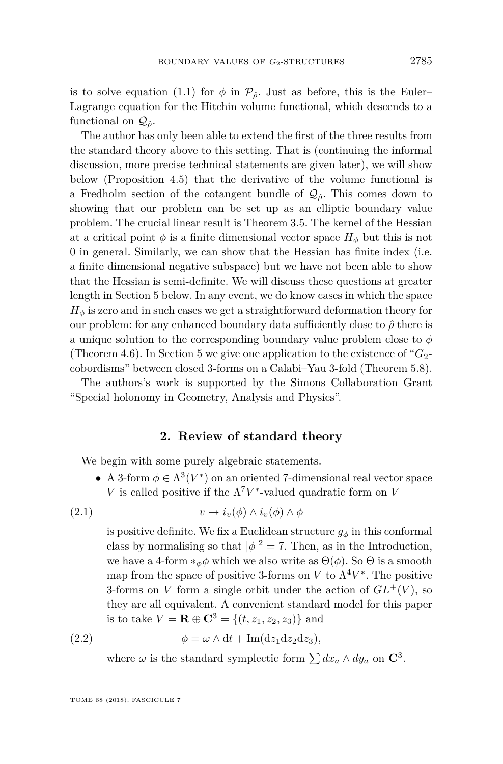is to solve equation [\(1.1\)](#page-1-0) for  $\phi$  in  $\mathcal{P}_{\hat{\rho}}$ . Just as before, this is the Euler– Lagrange equation for the Hitchin volume functional, which descends to a functional on  $\mathcal{Q}_\hat{\rho}$ .

The author has only been able to extend the first of the three results from the standard theory above to this setting. That is (continuing the informal discussion, more precise technical statements are given later), we will show below (Proposition [4.5\)](#page-20-0) that the derivative of the volume functional is a Fredholm section of the cotangent bundle of  $\mathcal{Q}_{\hat{\rho}}$ . This comes down to showing that our problem can be set up as an elliptic boundary value problem. The crucial linear result is Theorem [3.5.](#page-11-0) The kernel of the Hessian at a critical point  $\phi$  is a finite dimensional vector space  $H_{\phi}$  but this is not 0 in general. Similarly, we can show that the Hessian has finite index (i.e. a finite dimensional negative subspace) but we have not been able to show that the Hessian is semi-definite. We will discuss these questions at greater length in Section [5](#page-21-0) below. In any event, we do know cases in which the space  $H_{\phi}$  is zero and in such cases we get a straightforward deformation theory for our problem: for any enhanced boundary data sufficiently close to *ρ*ˆ there is a unique solution to the corresponding boundary value problem close to *φ* (Theorem [4.6\)](#page-21-1). In Section [5](#page-21-0) we give one application to the existence of " $G_2$ cobordisms" between closed 3-forms on a Calabi–Yau 3-fold (Theorem [5.8\)](#page-26-6).

The authors's work is supported by the Simons Collaboration Grant "Special holonomy in Geometry, Analysis and Physics".

#### **2. Review of standard theory**

<span id="page-3-1"></span>We begin with some purely algebraic statements.

• A 3-form  $\phi \in \Lambda^3(V^*)$  on an oriented 7-dimensional real vector space *V* is called positive if the  $\Lambda^7 V^*$ -valued quadratic form on *V* 

(2.1) 
$$
v \mapsto i_v(\phi) \wedge i_v(\phi) \wedge \phi
$$

is positive definite. We fix a Euclidean structure  $g_{\phi}$  in this conformal class by normalising so that  $|\phi|^2 = 7$ . Then, as in the Introduction, we have a 4-form  $*_\phi \phi$  which we also write as  $\Theta(\phi)$ . So  $\Theta$  is a smooth map from the space of positive 3-forms on *V* to  $\Lambda^4 V^*$ . The positive 3-forms on *V* form a single orbit under the action of  $GL^+(V)$ , so they are all equivalent. A convenient standard model for this paper is to take  $V = \mathbf{R} \oplus \mathbf{C}^3 = \{(t, z_1, z_2, z_3)\}\$ and

(2.2) 
$$
\phi = \omega \wedge dt + Im(dz_1 dz_2 dz_3),
$$

<span id="page-3-0"></span>where  $\omega$  is the standard symplectic form  $\sum dx_a \wedge dy_a$  on  $\mathbb{C}^3$ .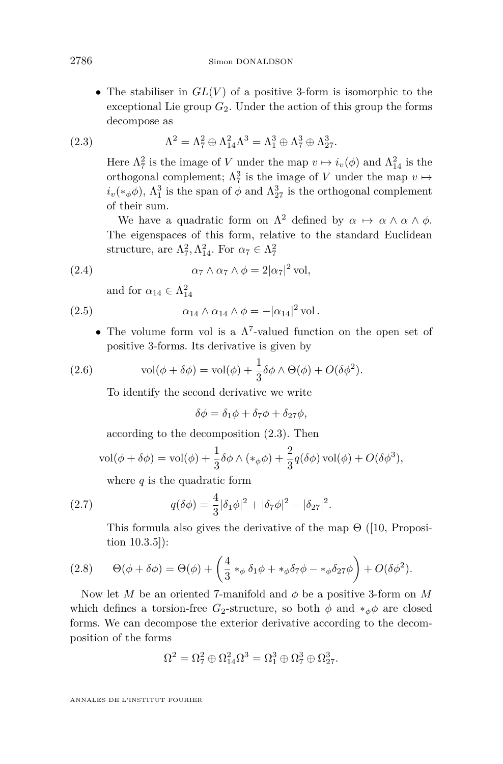• The stabiliser in  $GL(V)$  of a positive 3-form is isomorphic to the exceptional Lie group  $G_2$ . Under the action of this group the forms decompose as

(2.3) 
$$
\Lambda^2 = \Lambda_7^2 \oplus \Lambda_{14}^2 \Lambda^3 = \Lambda_1^3 \oplus \Lambda_7^3 \oplus \Lambda_{27}^3.
$$

<span id="page-4-0"></span>Here  $\Lambda^2$  is the image of *V* under the map  $v \mapsto i_v(\phi)$  and  $\Lambda^2_{14}$  is the orthogonal complement;  $\Lambda_7^3$  is the image of *V* under the map  $v \mapsto$  $i_v(*_{\phi}\phi)$ ,  $\Lambda_1^3$  is the span of  $\phi$  and  $\Lambda_{27}^3$  is the orthogonal complement of their sum.

We have a quadratic form on  $\Lambda^2$  defined by  $\alpha \mapsto \alpha \wedge \alpha \wedge \phi$ . The eigenspaces of this form, relative to the standard Euclidean structure, are  $\Lambda_7^2, \Lambda_{14}^2$ . For  $\alpha_7 \in \Lambda_7^2$ 

(2.4) 
$$
\alpha_7 \wedge \alpha_7 \wedge \phi = 2|\alpha_7|^2 \text{ vol},
$$

<span id="page-4-2"></span><span id="page-4-1"></span>and for  $\alpha_{14} \in \Lambda^2_{14}$ 

(2.5) 
$$
\alpha_{14} \wedge \alpha_{14} \wedge \phi = -|\alpha_{14}|^2 \,\mathrm{vol}.
$$

• The volume form vol is a  $\Lambda^7$ -valued function on the open set of positive 3-forms. Its derivative is given by

(2.6) 
$$
\text{vol}(\phi + \delta\phi) = \text{vol}(\phi) + \frac{1}{3}\delta\phi \wedge \Theta(\phi) + O(\delta\phi^2).
$$

<span id="page-4-3"></span>To identify the second derivative we write

$$
\delta\phi = \delta_1\phi + \delta_7\phi + \delta_{27}\phi,
$$

according to the decomposition [\(2.3\)](#page-4-0). Then

$$
\text{vol}(\phi + \delta\phi) = \text{vol}(\phi) + \frac{1}{3}\delta\phi \wedge (*_{\phi}\phi) + \frac{2}{3}q(\delta\phi)\,\text{vol}(\phi) + O(\delta\phi^3),
$$

where *q* is the quadratic form

(2.7) 
$$
q(\delta \phi) = \frac{4}{3} |\delta_1 \phi|^2 + |\delta_7 \phi|^2 - |\delta_{27}|^2.
$$

<span id="page-4-4"></span>This formula also gives the derivative of the map  $\Theta$  ([\[10,](#page-26-2) Proposition 10.3.5]):

(2.8) 
$$
\Theta(\phi + \delta\phi) = \Theta(\phi) + \left(\frac{4}{3} *_{\phi} \delta_1 \phi + *_{\phi} \delta_7 \phi - *_{\phi} \delta_2 \phi\right) + O(\delta\phi^2).
$$

Now let *M* be an oriented 7-manifold and  $\phi$  be a positive 3-form on *M* which defines a torsion-free  $G_2$ -structure, so both  $\phi$  and  $*_\phi \phi$  are closed forms. We can decompose the exterior derivative according to the decomposition of the forms

$$
\Omega^2 = \Omega_7^2 \oplus \Omega_{14}^2 \Omega^3 = \Omega_1^3 \oplus \Omega_7^3 \oplus \Omega_{27}^3.
$$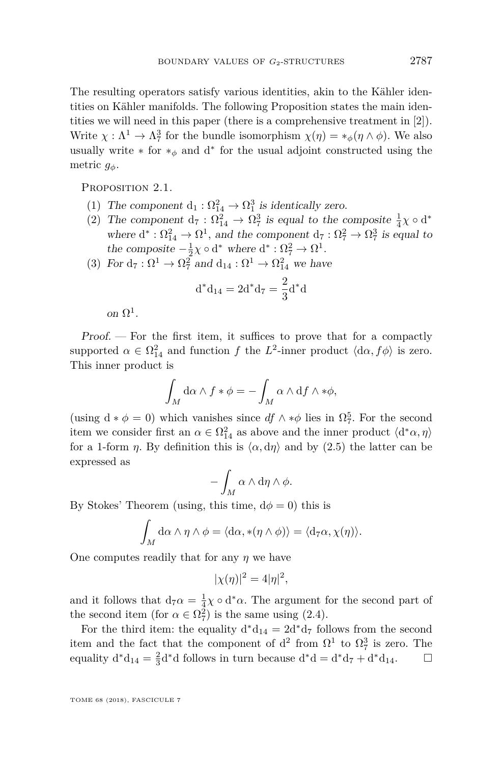The resulting operators satisfy various identities, akin to the Kähler identities on Kähler manifolds. The following Proposition states the main identities we will need in this paper (there is a comprehensive treatment in [\[2\]](#page-26-7)). Write  $\chi : \Lambda^1 \to \Lambda^3$  for the bundle isomorphism  $\chi(\eta) = *_{\phi}(\eta \wedge \phi)$ . We also usually write  $*$  for  $*_{\phi}$  and d<sup>\*</sup> for the usual adjoint constructed using the metric *gφ*.

<span id="page-5-2"></span><span id="page-5-0"></span>PROPOSITION 2.1.

- (1) The component  $d_1 : \Omega_{14}^2 \to \Omega_1^3$  is identically zero.
- <span id="page-5-3"></span>(2) The component  $d_7: \Omega_{14}^2 \to \Omega_7^3$  is equal to the composite  $\frac{1}{4}\chi \circ d^*$ where  $d^* : \Omega_{14}^2 \to \Omega^1$ , and the component  $d_7 : \Omega_7^2 \to \Omega_7^3$  is equal to the composite  $-\frac{1}{2}\chi \circ d^*$  where  $d^* : \Omega_7^2 \to \Omega_7^1$ .
- <span id="page-5-1"></span>(3) For  $d_7 : \Omega^1 \to \Omega^2_7$  and  $d_{14} : \Omega^1 \to \Omega^2_{14}$  we have

$$
d^*d_{14} = 2d^*d_7 = \frac{2}{3}d^*d
$$

on  $\Omega^1$ .

Proof. — For the first item, it suffices to prove that for a compactly supported  $\alpha \in \Omega_{14}^2$  and function f the  $L^2$ -inner product  $\langle d\alpha, f\phi \rangle$  is zero. This inner product is

$$
\int_M d\alpha \wedge f * \phi = -\int_M \alpha \wedge df \wedge * \phi,
$$

(using  $d * \phi = 0$ ) which vanishes since  $df \wedge * \phi$  lies in  $\Omega_7^5$ . For the second item we consider first an  $\alpha \in \Omega^2_{14}$  as above and the inner product  $\langle d^*\alpha, \eta \rangle$ for a 1-form *η*. By definition this is  $\langle \alpha, d\eta \rangle$  and by [\(2.5\)](#page-4-1) the latter can be expressed as

$$
-\int_M \alpha \wedge d\eta \wedge \phi.
$$

By Stokes' Theorem (using, this time,  $d\phi = 0$ ) this is

$$
\int_M d\alpha \wedge \eta \wedge \phi = \langle d\alpha, *(\eta \wedge \phi) \rangle = \langle d_7 \alpha, \chi(\eta) \rangle.
$$

One computes readily that for any *η* we have

$$
|\chi(\eta)|^2 = 4|\eta|^2,
$$

and it follows that  $d_7\alpha = \frac{1}{4}\chi \circ d^*\alpha$ . The argument for the second part of the second item (for  $\alpha \in \Omega_7^2$ ) is the same using [\(2.4\)](#page-4-2).

For the third item: the equality  $d^*d_{14} = 2d^*d_7$  follows from the second item and the fact that the component of  $d^2$  from  $\Omega^1$  to  $\Omega^3$  is zero. The equality  $d^*d_{14} = \frac{2}{3}d^*d$  follows in turn because  $d^*d = d^*d_7 + d^*d_{14}$ .  $\Box$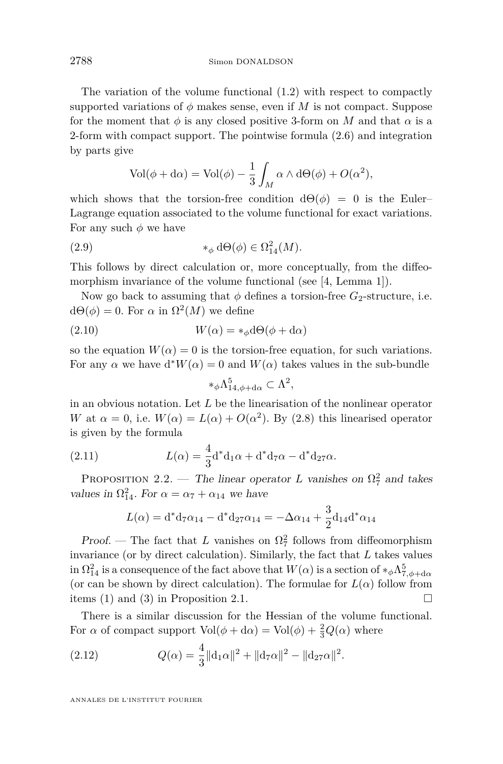The variation of the volume functional [\(1.2\)](#page-2-0) with respect to compactly supported variations of  $\phi$  makes sense, even if *M* is not compact. Suppose for the moment that  $\phi$  is any closed positive 3-form on M and that  $\alpha$  is a 2-form with compact support. The pointwise formula [\(2.6\)](#page-4-3) and integration by parts give

$$
Vol(\phi + d\alpha) = Vol(\phi) - \frac{1}{3} \int_M \alpha \wedge d\Theta(\phi) + O(\alpha^2),
$$

which shows that the torsion-free condition  $d\Theta(\phi) = 0$  is the Euler– Lagrange equation associated to the volume functional for exact variations. For any such  $\phi$  we have

(2.9) 
$$
\ast_{\phi} d\Theta(\phi) \in \Omega^2_{14}(M).
$$

This follows by direct calculation or, more conceptually, from the diffeo-morphism invariance of the volume functional (see [\[4,](#page-26-8) Lemma 1]).

Now go back to assuming that  $\phi$  defines a torsion-free  $G_2$ -structure, i.e.  $d\Theta(\phi) = 0$ . For  $\alpha$  in  $\Omega^2(M)$  we define

(2.10) 
$$
W(\alpha) = *_{\phi} d\Theta(\phi + d\alpha)
$$

so the equation  $W(\alpha) = 0$  is the torsion-free equation, for such variations. For any  $\alpha$  we have  $d^*W(\alpha) = 0$  and  $W(\alpha)$  takes values in the sub-bundle

$$
*_{\phi}\Lambda_{14,\phi+\mathrm{d}\alpha}^5\subset \Lambda^2,
$$

in an obvious notation. Let *L* be the linearisation of the nonlinear operator *W* at  $\alpha = 0$ , i.e.  $W(\alpha) = L(\alpha) + O(\alpha^2)$ . By [\(2.8\)](#page-4-4) this linearised operator is given by the formula

(2.11) 
$$
L(\alpha) = \frac{4}{3} d^* d_1 \alpha + d^* d_7 \alpha - d^* d_{27} \alpha.
$$

<span id="page-6-1"></span>PROPOSITION 2.2. — The linear operator *L* vanishes on  $\Omega_7^2$  and takes values in  $\Omega_{14}^2$ . For  $\alpha = \alpha_7 + \alpha_{14}$  we have

$$
L(\alpha) = d^* d_7 \alpha_{14} - d^* d_{27} \alpha_{14} = -\Delta \alpha_{14} + \frac{3}{2} d_{14} d^* \alpha_{14}
$$

Proof. — The fact that *L* vanishes on  $\Omega^2$  follows from diffeomorphism invariance (or by direct calculation). Similarly, the fact that *L* takes values in  $\Omega_{14}^2$  is a consequence of the fact above that  $W(\alpha)$  is a section of  $*_{\phi} \Lambda_{7,\phi+\mathrm{d}\alpha}^5$ (or can be shown by direct calculation). The formulae for  $L(\alpha)$  follow from items [\(1\)](#page-5-0) and [\(3\)](#page-5-1) in Proposition [2.1.](#page-5-2)

There is a similar discussion for the Hessian of the volume functional. For  $\alpha$  of compact support  $\text{Vol}(\phi + d\alpha) = \text{Vol}(\phi) + \frac{2}{3}Q(\alpha)$  where

<span id="page-6-0"></span>(2.12) 
$$
Q(\alpha) = \frac{4}{3} ||\mathbf{d}_1 \alpha||^2 + ||\mathbf{d}_7 \alpha||^2 - ||\mathbf{d}_{27} \alpha||^2.
$$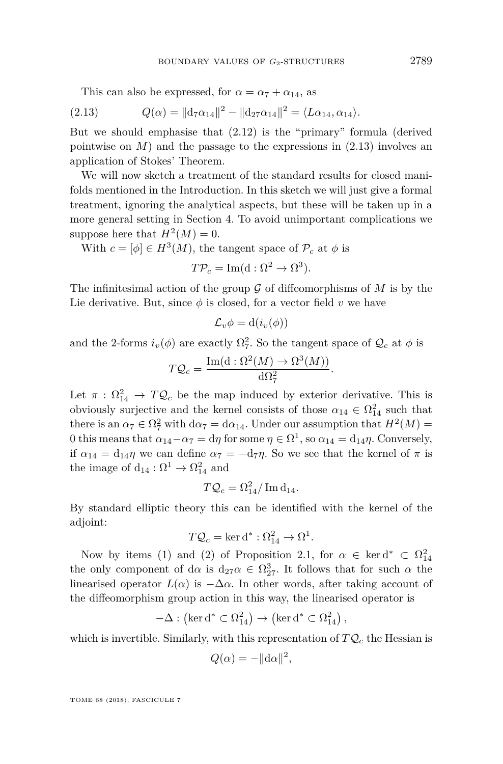<span id="page-7-0"></span>This can also be expressed, for  $\alpha = \alpha_7 + \alpha_{14}$ , as

(2.13) 
$$
Q(\alpha) = ||d_7 \alpha_{14}||^2 - ||d_{27} \alpha_{14}||^2 = \langle L \alpha_{14}, \alpha_{14} \rangle.
$$

But we should emphasise that [\(2.12\)](#page-6-0) is the "primary" formula (derived pointwise on  $M$ ) and the passage to the expressions in  $(2.13)$  involves an application of Stokes' Theorem.

We will now sketch a treatment of the standard results for closed manifolds mentioned in the Introduction. In this sketch we will just give a formal treatment, ignoring the analytical aspects, but these will be taken up in a more general setting in Section [4.](#page-17-0) To avoid unimportant complications we suppose here that  $H^2(M) = 0$ .

With  $c = [\phi] \in H^3(M)$ , the tangent space of  $\mathcal{P}_c$  at  $\phi$  is

$$
T\mathcal{P}_c = \text{Im}(\mathbf{d} : \Omega^2 \to \Omega^3).
$$

The infinitesimal action of the group  $G$  of diffeomorphisms of  $M$  is by the Lie derivative. But, since  $\phi$  is closed, for a vector field  $v$  we have

$$
\mathcal{L}_v \phi = \mathrm{d}(i_v(\phi))
$$

and the 2-forms  $i_v(\phi)$  are exactly  $\Omega^2$ . So the tangent space of  $\mathcal{Q}_c$  at  $\phi$  is

$$
TQ_c = \frac{\operatorname{Im}(\mathrm{d}:\Omega^2(M) \to \Omega^3(M))}{\mathrm{d}\Omega_7^2}.
$$

Let  $\pi$  :  $\Omega_{14}^2 \to T \mathcal{Q}_c$  be the map induced by exterior derivative. This is obviously surjective and the kernel consists of those  $\alpha_{14} \in \Omega_{14}^2$  such that there is an  $\alpha_7 \in \Omega^2$  with  $d\alpha_7 = d\alpha_{14}$ . Under our assumption that  $H^2(M) =$ 0 this means that  $\alpha_{14}-\alpha_7 = d\eta$  for some  $\eta \in \Omega^1$ , so  $\alpha_{14} = d_{14}\eta$ . Conversely, if  $\alpha_{14} = d_{14}\eta$  we can define  $\alpha_7 = -d_7\eta$ . So we see that the kernel of  $\pi$  is the image of  $d_{14} : \Omega^1 \to \Omega^2_{14}$  and

$$
T\mathcal{Q}_c = \Omega_{14}^2 / \operatorname{Im} \mathrm{d}_{14}.
$$

By standard elliptic theory this can be identified with the kernel of the adjoint:

$$
T\mathcal{Q}_c = \ker \mathrm{d}^* : \Omega_{14}^2 \to \Omega^1.
$$

Now by items [\(1\)](#page-5-0) and [\(2\)](#page-5-3) of Proposition [2.1,](#page-5-2) for  $\alpha \in \text{ker d}^* \subset \Omega_{14}^2$ the only component of d $\alpha$  is d<sub>27</sub> $\alpha \in \Omega^3$ <sub>27</sub>. It follows that for such  $\alpha$  the linearised operator  $L(\alpha)$  is  $-\Delta \alpha$ . In other words, after taking account of the diffeomorphism group action in this way, the linearised operator is

$$
-\Delta : (\ker d^* \subset \Omega_{14}^2) \to (\ker d^* \subset \Omega_{14}^2),
$$

which is invertible. Similarly, with this representation of  $TQ_c$  the Hessian is

$$
Q(\alpha) = -\|\mathrm{d}\alpha\|^2,
$$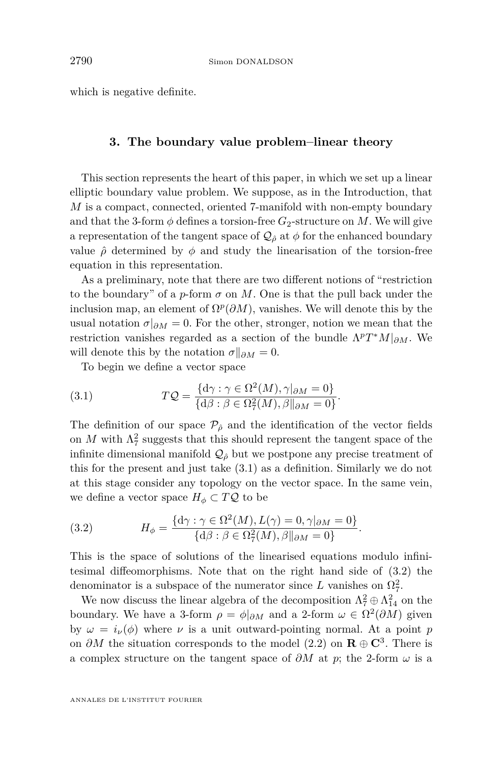which is negative definite.

#### **3. The boundary value problem–linear theory**

<span id="page-8-2"></span>This section represents the heart of this paper, in which we set up a linear elliptic boundary value problem. We suppose, as in the Introduction, that *M* is a compact, connected, oriented 7-manifold with non-empty boundary and that the 3-form  $\phi$  defines a torsion-free  $G_2$ -structure on M. We will give a representation of the tangent space of  $\mathcal{Q}_{\hat{\rho}}$  at  $\phi$  for the enhanced boundary value  $\hat{\rho}$  determined by  $\phi$  and study the linearisation of the torsion-free equation in this representation.

As a preliminary, note that there are two different notions of "restriction to the boundary" of a *p*-form  $\sigma$  on  $M$ . One is that the pull back under the inclusion map, an element of  $\Omega^p(\partial M)$ , vanishes. We will denote this by the usual notation  $\sigma|_{\partial M}=0$ . For the other, stronger, notion we mean that the restriction vanishes regarded as a section of the bundle Λ *pT* <sup>∗</sup>*M*|*∂M*. We will denote this by the notation  $\sigma||_{\partial M}=0$ .

<span id="page-8-0"></span>To begin we define a vector space

(3.1) 
$$
TQ = \frac{\{\mathrm{d}\gamma : \gamma \in \Omega^2(M), \gamma|_{\partial M} = 0\}}{\{\mathrm{d}\beta : \beta \in \Omega^2(M), \beta\|_{\partial M} = 0\}}.
$$

The definition of our space  $\mathcal{P}_{\hat{\rho}}$  and the identification of the vector fields on  $M$  with  $\Lambda^2$  suggests that this should represent the tangent space of the infinite dimensional manifold  $\mathcal{Q}_{\hat{\rho}}$  but we postpone any precise treatment of this for the present and just take [\(3.1\)](#page-8-0) as a definition. Similarly we do not at this stage consider any topology on the vector space. In the same vein, we define a vector space  $H_{\phi} \subset TQ$  to be

<span id="page-8-1"></span>(3.2) 
$$
H_{\phi} = \frac{\{\mathrm{d}\gamma : \gamma \in \Omega^2(M), L(\gamma) = 0, \gamma|_{\partial M} = 0\}}{\{\mathrm{d}\beta : \beta \in \Omega^2_{7}(M), \beta\|_{\partial M} = 0\}}.
$$

This is the space of solutions of the linearised equations modulo infinitesimal diffeomorphisms. Note that on the right hand side of [\(3.2\)](#page-8-1) the denominator is a subspace of the numerator since  $L$  vanishes on  $\Omega^2$ .

We now discuss the linear algebra of the decomposition  $\Lambda^2_7 \oplus \Lambda^2_{14}$  on the boundary. We have a 3-form  $\rho = \phi|_{\partial M}$  and a 2-form  $\omega \in \Omega^2(\partial M)$  given by  $\omega = i_{\nu}(\phi)$  where  $\nu$  is a unit outward-pointing normal. At a point *p* on *∂M* the situation corresponds to the model [\(2.2\)](#page-3-0) on **R** ⊕ **C**<sup>3</sup> . There is a complex structure on the tangent space of *∂M* at *p*; the 2-form *ω* is a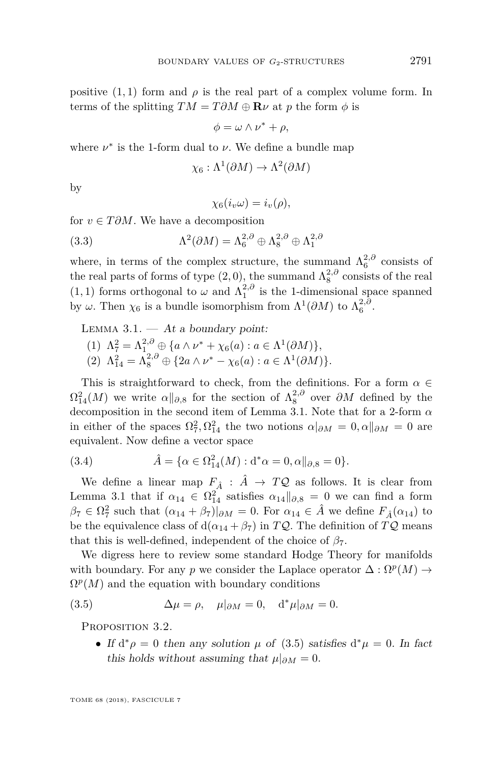positive  $(1,1)$  form and  $\rho$  is the real part of a complex volume form. In terms of the splitting  $TM = T \partial M \oplus \mathbf{R} \nu$  at p the form  $\phi$  is

$$
\phi = \omega \wedge \nu^* + \rho,
$$

where  $\nu^*$  is the 1-form dual to  $\nu$ . We define a bundle map

$$
\chi_6: \Lambda^1(\partial M) \to \Lambda^2(\partial M)
$$

by

$$
\chi_6(i_v\omega)=i_v(\rho),
$$

for *v* ∈ *T ∂M*. We have a decomposition

(3.3) 
$$
\Lambda^2(\partial M) = \Lambda_6^{2,\partial} \oplus \Lambda_8^{2,\partial} \oplus \Lambda_1^{2,\partial}
$$

where, in terms of the complex structure, the summand  $\Lambda_6^{2,0}$  consists of the real parts of forms of type  $(2,0)$ , the summand  $\Lambda_8^{2,0}$  consists of the real  $(1, 1)$  forms orthogonal to  $\omega$  and  $\Lambda_1^{2, \partial}$  is the 1-dimensional space spanned by  $\omega$ . Then  $\chi_6$  is a bundle isomorphism from  $\Lambda^1(\partial M)$  to  $\Lambda_6^{2,\partial}$ .

<span id="page-9-0"></span>LEMMA  $3.1.$  — At a boundary point:

(1)  $\Lambda_7^2 = \Lambda_1^{2,0} \oplus \{ a \wedge \nu^* + \chi_6(a) : a \in \Lambda^1(\partial M) \},$ (2)  $\Lambda_{14}^2 = \Lambda_8^{2, \partial} \oplus \{2a \wedge \nu^* - \chi_6(a) : a \in \Lambda^1(\partial M)\}.$ 

This is straightforward to check, from the definitions. For a form  $\alpha \in$  $\Omega_{14}^2(M)$  we write  $\alpha||_{\partial,8}$  for the section of  $\Lambda_8^{2,0}$  over  $\partial M$  defined by the decomposition in the second item of Lemma [3.1.](#page-9-0) Note that for a 2-form *α* in either of the spaces  $\Omega_7^2, \Omega_{14}^2$  the two notions  $\alpha|_{\partial M} = 0, \alpha||_{\partial M} = 0$  are equivalent. Now define a vector space

(3.4) 
$$
\hat{A} = \{ \alpha \in \Omega_{14}^{2}(M) : d^{*}\alpha = 0, \alpha \|_{\partial, 8} = 0 \}.
$$

We define a linear map  $F_{\hat{A}}$  :  $\hat{A} \rightarrow TQ$  as follows. It is clear from Lemma [3.1](#page-9-0) that if  $\alpha_{14} \in \Omega_{14}^2$  satisfies  $\alpha_{14} \parallel_{\partial,8} = 0$  we can find a form  $\beta_7 \in \Omega^2_7$  such that  $(\alpha_{14} + \beta_7)|_{\partial M} = 0$ . For  $\alpha_{14} \in \hat{A}$  we define  $F_{\hat{A}}(\alpha_{14})$  to be the equivalence class of  $d(\alpha_{14} + \beta_7)$  in  $TQ$ . The definition of  $TQ$  means that this is well-defined, independent of the choice of  $\beta$ <sub>7</sub>.

We digress here to review some standard Hodge Theory for manifolds with boundary. For any *p* we consider the Laplace operator  $\Delta : \Omega^p(M) \to$  $\Omega^p(M)$  and the equation with boundary conditions

(3.5) 
$$
\Delta \mu = \rho, \quad \mu|_{\partial M} = 0, \quad d^* \mu|_{\partial M} = 0.
$$

<span id="page-9-2"></span>PROPOSITION 3.2.

<span id="page-9-1"></span>• If  $d^*\rho = 0$  then any solution  $\mu$  of [\(3.5\)](#page-9-1) satisfies  $d^*\mu = 0$ . In fact this holds without assuming that  $\mu|_{\partial M}=0$ .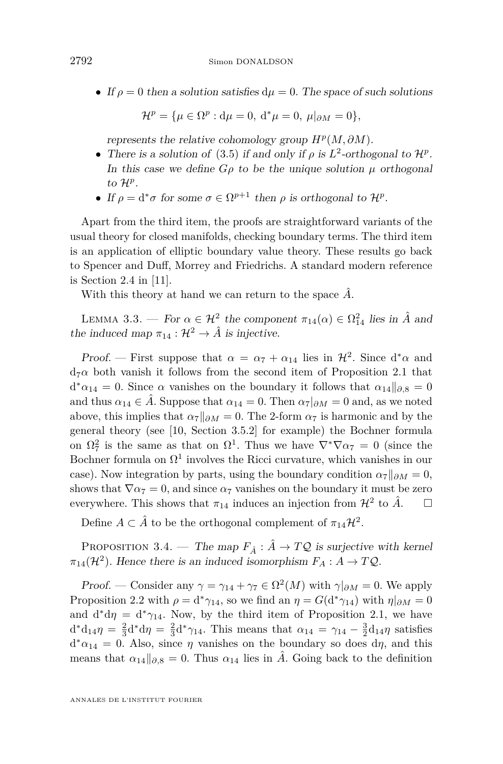• If  $\rho = 0$  then a solution satisfies  $d\mu = 0$ . The space of such solutions

$$
\mathcal{H}^{p} = \{ \mu \in \Omega^{p} : d\mu = 0, d^*\mu = 0, \mu|_{\partial M} = 0 \},
$$

represents the relative cohomology group  $H^p(M, \partial M)$ .

- There is a solution of [\(3.5\)](#page-9-1) if and only if  $\rho$  is  $L^2$ -orthogonal to  $\mathcal{H}^p$ . In this case we define  $G\rho$  to be the unique solution  $\mu$  orthogonal to H*<sup>p</sup>* .
- If  $\rho = d^* \sigma$  for some  $\sigma \in \Omega^{p+1}$  then  $\rho$  is orthogonal to  $\mathcal{H}^p$ .

Apart from the third item, the proofs are straightforward variants of the usual theory for closed manifolds, checking boundary terms. The third item is an application of elliptic boundary value theory. These results go back to Spencer and Duff, Morrey and Friedrichs. A standard modern reference is Section 2.4 in [\[11\]](#page-26-9).

With this theory at hand we can return to the space  $\tilde{A}$ .

<span id="page-10-0"></span>LEMMA 3.3. — For  $\alpha \in \mathcal{H}^2$  the component  $\pi_{14}(\alpha) \in \Omega^2_{14}$  lies in  $\hat{A}$  and the induced map  $\pi_{14} : \mathcal{H}^2 \to \hat{A}$  is injective.

Proof. — First suppose that  $\alpha = \alpha_7 + \alpha_{14}$  lies in  $\mathcal{H}^2$ . Since  $d^*\alpha$  and  $d_7\alpha$  both vanish it follows from the second item of Proposition [2.1](#page-5-2) that  $d^* \alpha_{14} = 0$ . Since  $\alpha$  vanishes on the boundary it follows that  $\alpha_{14} ||_{\partial,8} = 0$ and thus  $\alpha_{14} \in \hat{A}$ . Suppose that  $\alpha_{14} = 0$ . Then  $\alpha_7|_{\partial M} = 0$  and, as we noted above, this implies that  $\alpha_7||_{\partial M} = 0$ . The 2-form  $\alpha_7$  is harmonic and by the general theory (see [\[10,](#page-26-2) Section 3.5.2] for example) the Bochner formula on  $\Omega_7^2$  is the same as that on  $\Omega^1$ . Thus we have  $\nabla^* \nabla \alpha_7 = 0$  (since the Bochner formula on  $\Omega^1$  involves the Ricci curvature, which vanishes in our case). Now integration by parts, using the boundary condition  $\alpha_7||_{\partial M} = 0$ , shows that  $\nabla \alpha_7 = 0$ , and since  $\alpha_7$  vanishes on the boundary it must be zero everywhere. This shows that  $\pi_{14}$  induces an injection from  $\mathcal{H}^2$  to  $\hat{A}$ .  $\square$ 

Define  $A \subset \hat{A}$  to be the orthogonal complement of  $\pi_{14} \mathcal{H}^2$ .

PROPOSITION 3.4. — The map  $F_{\hat{A}}$  :  $\hat{A} \rightarrow TQ$  is surjective with kernel  $\pi_{14}(\mathcal{H}^2)$ . Hence there is an induced isomorphism  $F_A: A \to TQ$ .

Proof. — Consider any  $\gamma = \gamma_{14} + \gamma_7 \in \Omega^2(M)$  with  $\gamma|_{\partial M} = 0$ . We apply Proposition [2.2](#page-6-1) with  $\rho = d^* \gamma_{14}$ , so we find an  $\eta = G(d^* \gamma_{14})$  with  $\eta|_{\partial M} = 0$ and  $d^*d\eta = d^*\gamma_{14}$ . Now, by the third item of Proposition [2.1,](#page-5-2) we have  $d^*d_{14}η = \frac{2}{3}d^*dη = \frac{2}{3}d^*γ_{14}$ . This means that  $α_{14} = γ_{14} - \frac{3}{2}d_{14}η$  satisfies  $d^* \alpha_{14} = 0$ . Also, since  $\eta$  vanishes on the boundary so does  $d\eta$ , and this means that  $\alpha_{14}\|_{\partial S} = 0$ . Thus  $\alpha_{14}$  lies in *A*<sup> $\Omega$ </sup>. Going back to the definition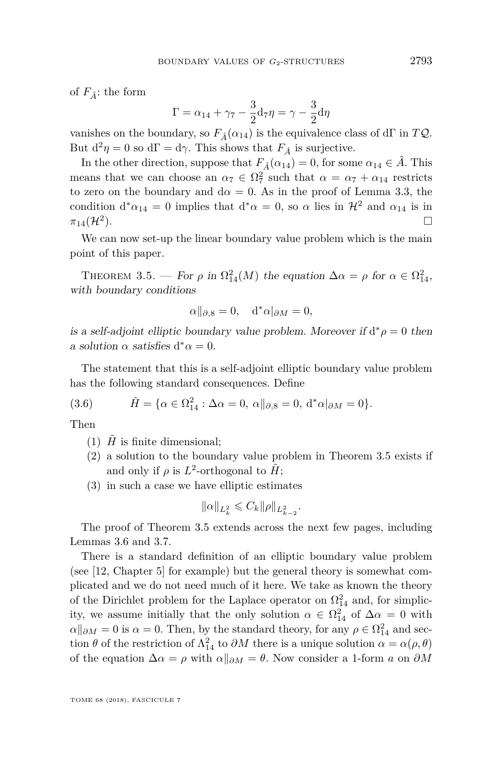of  $F_{\hat{A}}$ : the form

$$
\Gamma = \alpha_{14} + \gamma_7 - \frac{3}{2} \mathbf{d}_7 \eta = \gamma - \frac{3}{2} \mathbf{d}_7 \eta
$$

vanishes on the boundary, so  $F_{\hat{A}}(\alpha_{14})$  is the equivalence class of dΓ in TQ. But  $d^2\eta = 0$  so  $d\Gamma = d\gamma$ . This shows that  $F_{\hat{A}}$  is surjective.

In the other direction, suppose that  $F_{\hat{A}}(\alpha_{14}) = 0$ , for some  $\alpha_{14} \in \hat{A}$ . This means that we can choose an  $\alpha_7 \in \Omega_7^2$  such that  $\alpha = \alpha_7 + \alpha_{14}$  restricts to zero on the boundary and  $d\alpha = 0$ . As in the proof of Lemma [3.3,](#page-10-0) the condition  $d^* \alpha_{14} = 0$  implies that  $d^* \alpha = 0$ , so  $\alpha$  lies in  $\mathcal{H}^2$  and  $\alpha_{14}$  is in  $\pi_{14}(\mathcal{H}^2)$ .  $\Box$ 

We can now set-up the linear boundary value problem which is the main point of this paper.

<span id="page-11-0"></span>THEOREM 3.5. — For  $\rho$  in  $\Omega_{14}^2(M)$  the equation  $\Delta \alpha = \rho$  for  $\alpha \in \Omega_{14}^2$ , with boundary conditions

$$
\alpha||_{\partial,8} = 0, \quad d^*\alpha|_{\partial M} = 0,
$$

is a self-adjoint elliptic boundary value problem. Moreover if  $d^*\rho = 0$  then a solution  $\alpha$  satisfies  $d^*\alpha = 0$ .

The statement that this is a self-adjoint elliptic boundary value problem has the following standard consequences. Define

(3.6) 
$$
\tilde{H} = \{ \alpha \in \Omega_{14}^2 : \Delta \alpha = 0, \alpha \|_{\partial, 8} = 0, d^* \alpha |_{\partial M} = 0 \}.
$$

Then

- (1)  $\hat{H}$  is finite dimensional;
- (2) a solution to the boundary value problem in Theorem [3.5](#page-11-0) exists if and only if  $\rho$  is  $L^2$ -orthogonal to  $H$ <sup>\*</sup>;
- (3) in such a case we have elliptic estimates

$$
\|\alpha\|_{L^2_k} \leqslant C_k \|\rho\|_{L^2_{k-2}}.
$$

The proof of Theorem [3.5](#page-11-0) extends across the next few pages, including Lemmas [3.6](#page-12-0) and [3.7.](#page-13-0)

There is a standard definition of an elliptic boundary value problem (see [\[12,](#page-26-10) Chapter 5] for example) but the general theory is somewhat complicated and we do not need much of it here. We take as known the theory of the Dirichlet problem for the Laplace operator on  $\Omega_{14}^2$  and, for simplicity, we assume initially that the only solution  $\alpha \in \Omega^2_{14}$  of  $\Delta \alpha = 0$  with  $\alpha \parallel_{\partial M} = 0$  is  $\alpha = 0$ . Then, by the standard theory, for any  $\rho \in \Omega^2_{14}$  and section  $\theta$  of the restriction of  $\Lambda_{14}^2$  to  $\partial M$  there is a unique solution  $\alpha = \alpha(\rho, \theta)$ of the equation  $\Delta \alpha = \rho$  with  $\alpha \parallel_{\partial M} = \theta$ . Now consider a 1-form *a* on  $\partial M$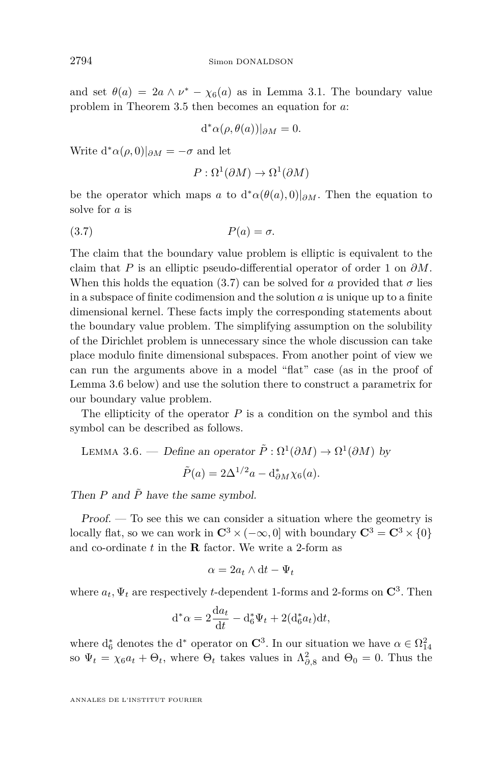and set  $\theta(a) = 2a \wedge \nu^* - \chi_6(a)$  as in Lemma [3.1.](#page-9-0) The boundary value problem in Theorem [3.5](#page-11-0) then becomes an equation for *a*:

$$
d^*\alpha(\rho,\theta(a))|_{\partial M}=0.
$$

Write  $d^* \alpha(\rho, 0)|_{\partial M} = -\sigma$  and let

<span id="page-12-1"></span>
$$
P: \Omega^1(\partial M) \to \Omega^1(\partial M)
$$

be the operator which maps *a* to  $d^* \alpha(\theta(a), 0)|_{\partial M}$ . Then the equation to solve for *a* is

$$
(3.7) \t\t P(a) = \sigma.
$$

The claim that the boundary value problem is elliptic is equivalent to the claim that *P* is an elliptic pseudo-differential operator of order 1 on *∂M*. When this holds the equation [\(3.7\)](#page-12-1) can be solved for *a* provided that  $\sigma$  lies in a subspace of finite codimension and the solution *a* is unique up to a finite dimensional kernel. These facts imply the corresponding statements about the boundary value problem. The simplifying assumption on the solubility of the Dirichlet problem is unnecessary since the whole discussion can take place modulo finite dimensional subspaces. From another point of view we can run the arguments above in a model "flat" case (as in the proof of Lemma [3.6](#page-12-0) below) and use the solution there to construct a parametrix for our boundary value problem.

The ellipticity of the operator *P* is a condition on the symbol and this symbol can be described as follows.

<span id="page-12-0"></span>LEMMA 3.6. — Define an operator  $\tilde{P}: \Omega^1(\partial M) \to \Omega^1(\partial M)$  by  $\tilde{P}(a) = 2\Delta^{1/2}a - d_{\partial M}^*\chi_6(a)$ .

Then  $P$  and  $\tilde{P}$  have the same symbol.

Proof. — To see this we can consider a situation where the geometry is locally flat, so we can work in  $\mathbb{C}^3 \times (-\infty, 0]$  with boundary  $\mathbb{C}^3 = \mathbb{C}^3 \times \{0\}$ and co-ordinate *t* in the **R** factor. We write a 2-form as

$$
\alpha=2a_t\wedge \mathrm{d} t-\Psi_t
$$

where  $a_t$ ,  $\Psi_t$  are respectively *t*-dependent 1-forms and 2-forms on  $\mathbb{C}^3$ . Then

$$
\mathrm{d}^*\alpha = 2\frac{\mathrm{d}a_t}{\mathrm{d}t} - \mathrm{d}_6^*\Psi_t + 2(\mathrm{d}_6^*a_t)\mathrm{d}t,
$$

where  $d_6^*$  denotes the  $d^*$  operator on  $\mathbb{C}^3$ . In our situation we have  $\alpha \in \Omega_{14}^2$ so  $\Psi_t = \chi_6 a_t + \Theta_t$ , where  $\Theta_t$  takes values in  $\Lambda_{\partial,8}^2$  and  $\Theta_0 = 0$ . Thus the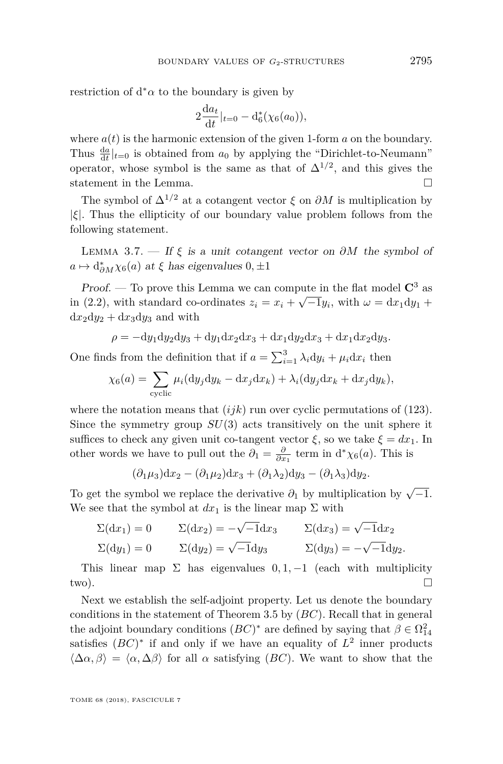restriction of  $d^*\alpha$  to the boundary is given by

$$
2\frac{da_t}{dt}|_{t=0} - d_6^*(\chi_6(a_0)),
$$

where  $a(t)$  is the harmonic extension of the given 1-form  $a$  on the boundary. Thus  $\frac{da}{dt}|_{t=0}$  is obtained from  $a_0$  by applying the "Dirichlet-to-Neumann" operator, whose symbol is the same as that of  $\Delta^{1/2}$ , and this gives the statement in the Lemma.  $\hfill \square$ 

The symbol of  $\Delta^{1/2}$  at a cotangent vector  $\xi$  on  $\partial M$  is multiplication by |*ξ*|. Thus the ellipticity of our boundary value problem follows from the following statement.

<span id="page-13-0"></span>LEMMA 3.7. — If  $\xi$  is a unit cotangent vector on  $\partial M$  the symbol of  $a \mapsto d^*_{\partial M} \chi_6(a)$  at  $\xi$  has eigenvalues  $0, \pm 1$ 

Proof. — To prove this Lemma we can compute in the flat model  $\mathbb{C}^3$  as in [\(2.2\)](#page-3-0), with standard co-ordinates  $z_i = x_i + \sqrt{-1}y_i$ , with  $\omega = dx_1 dy_1 +$  $dx_2dy_2 + dx_3dy_3$  and with

$$
\rho = -dy_1 dy_2 dy_3 + dy_1 dx_2 dx_3 + dx_1 dy_2 dx_3 + dx_1 dx_2 dy_3.
$$

One finds from the definition that if  $a = \sum_{i=1}^{3} \lambda_i dy_i + \mu_i dx_i$  then

$$
\chi_6(a) = \sum_{\text{cyclic}} \mu_i(\mathrm{d}y_j \mathrm{d}y_k - \mathrm{d}x_j \mathrm{d}x_k) + \lambda_i(\mathrm{d}y_j \mathrm{d}x_k + \mathrm{d}x_j \mathrm{d}y_k),
$$

where the notation means that  $(ijk)$  run over cyclic permutations of  $(123)$ . Since the symmetry group *SU*(3) acts transitively on the unit sphere it suffices to check any given unit co-tangent vector  $\xi$ , so we take  $\xi = dx_1$ . In other words we have to pull out the  $\partial_1 = \frac{\partial}{\partial x_1}$  term in  $d^* \chi_6(a)$ . This is

$$
(\partial_1\mu_3)dx_2-(\partial_1\mu_2)dx_3+(\partial_1\lambda_2)dy_3-(\partial_1\lambda_3)dy_2.
$$

To get the symbol we replace the derivative  $\partial_1$  by multiplication by  $\sqrt{-1}$ . We see that the symbol at  $dx_1$  is the linear map  $\Sigma$  with

$$
\Sigma(\mathrm{d}x_1) = 0 \qquad \Sigma(\mathrm{d}x_2) = -\sqrt{-1}\mathrm{d}x_3 \qquad \Sigma(\mathrm{d}x_3) = \sqrt{-1}\mathrm{d}x_2
$$
  

$$
\Sigma(\mathrm{d}y_1) = 0 \qquad \Sigma(\mathrm{d}y_2) = \sqrt{-1}\mathrm{d}y_3 \qquad \Sigma(\mathrm{d}y_3) = -\sqrt{-1}\mathrm{d}y_2.
$$

This linear map  $\Sigma$  has eigenvalues  $0, 1, -1$  (each with multiplicity two).

Next we establish the self-adjoint property. Let us denote the boundary conditions in the statement of Theorem [3.5](#page-11-0) by (*BC*). Recall that in general the adjoint boundary conditions  $(BC)^*$  are defined by saying that  $\beta \in \Omega^2_{14}$ satisfies  $(BC)^*$  if and only if we have an equality of  $L^2$  inner products  $\langle \Delta \alpha, \beta \rangle = \langle \alpha, \Delta \beta \rangle$  for all  $\alpha$  satisfying (*BC*). We want to show that the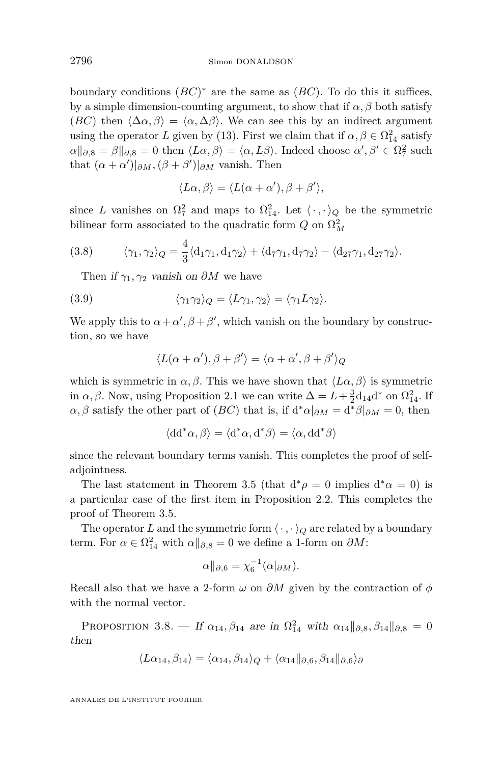boundary conditions  $(BC)^*$  are the same as  $(BC)$ . To do this it suffices, by a simple dimension-counting argument, to show that if  $\alpha$ ,  $\beta$  both satisfy (*BC*) then  $\langle \Delta \alpha, \beta \rangle = \langle \alpha, \Delta \beta \rangle$ . We can see this by an indirect argument using the operator *L* given by (13). First we claim that if  $\alpha, \beta \in \Omega^2_{14}$  satisfy  $\alpha\|_{\partial,8} = \beta\|_{\partial,8} = 0$  then  $\langle L\alpha, \beta \rangle = \langle \alpha, L\beta \rangle$ . Indeed choose  $\alpha', \beta' \in \Omega^2_7$  such that  $(\alpha + \alpha')|_{\partial M}$ ,  $(\beta + \beta')|_{\partial M}$  vanish. Then

$$
\langle L\alpha, \beta \rangle = \langle L(\alpha + \alpha'), \beta + \beta' \rangle,
$$

since *L* vanishes on  $\Omega_7^2$  and maps to  $\Omega_{14}^2$ . Let  $\langle \cdot, \cdot \rangle_Q$  be the symmetric bilinear form associated to the quadratic form  $Q$  on  $\Omega_M^2$ 

(3.8) 
$$
\langle \gamma_1, \gamma_2 \rangle_Q = \frac{4}{3} \langle d_1 \gamma_1, d_1 \gamma_2 \rangle + \langle d_7 \gamma_1, d_7 \gamma_2 \rangle - \langle d_{27} \gamma_1, d_{27} \gamma_2 \rangle.
$$

Then if  $\gamma_1, \gamma_2$  vanish on  $\partial M$  we have

(3.9) 
$$
\langle \gamma_1 \gamma_2 \rangle_Q = \langle L \gamma_1, \gamma_2 \rangle = \langle \gamma_1 L \gamma_2 \rangle.
$$

We apply this to  $\alpha + \alpha'$ ,  $\beta + \beta'$ , which vanish on the boundary by construction, so we have

$$
\langle L(\alpha+\alpha'),\beta+\beta'\rangle = \langle \alpha+\alpha',\beta+\beta'\rangle_Q
$$

which is symmetric in  $\alpha, \beta$ . This we have shown that  $\langle L\alpha, \beta \rangle$  is symmetric in  $\alpha, \beta$ . Now, using Proposition [2.1](#page-5-2) we can write  $\Delta = L + \frac{3}{2}d_{14}d^*$  on  $\Omega_{14}^2$ . If  $\alpha, \beta$  satisfy the other part of  $(BC)$  that is, if  $d^*\alpha|_{\partial M} = d^*\beta|_{\partial M} = 0$ , then

$$
\langle dd^*\alpha, \beta \rangle = \langle d^*\alpha, d^*\beta \rangle = \langle \alpha, dd^*\beta \rangle
$$

since the relevant boundary terms vanish. This completes the proof of selfadjointness.

The last statement in Theorem [3.5](#page-11-0) (that  $d^*\rho = 0$  implies  $d^*\alpha = 0$ ) is a particular case of the first item in Proposition [2.2.](#page-6-1) This completes the proof of Theorem [3.5.](#page-11-0)

The operator *L* and the symmetric form  $\langle \cdot, \cdot \rangle_Q$  are related by a boundary term. For  $\alpha \in \Omega^2_{14}$  with  $\alpha \parallel_{\partial,8} 0$  we define a 1-form on  $\partial M$ :

$$
\alpha||_{\partial,6} = \chi_6^{-1}(\alpha|_{\partial M}).
$$

Recall also that we have a 2-form *ω* on *∂M* given by the contraction of *φ* with the normal vector.

<span id="page-14-0"></span>PROPOSITION 3.8. — If  $\alpha_{14}, \beta_{14}$  are in  $\Omega_{14}^2$  with  $\alpha_{14}||_{\partial,8}, \beta_{14}||_{\partial,8} = 0$ then

$$
\langle L\alpha_{14}, \beta_{14} \rangle = \langle \alpha_{14}, \beta_{14} \rangle_Q + \langle \alpha_{14} ||_{\partial, 6}, \beta_{14} ||_{\partial, 6} \rangle_{\partial}
$$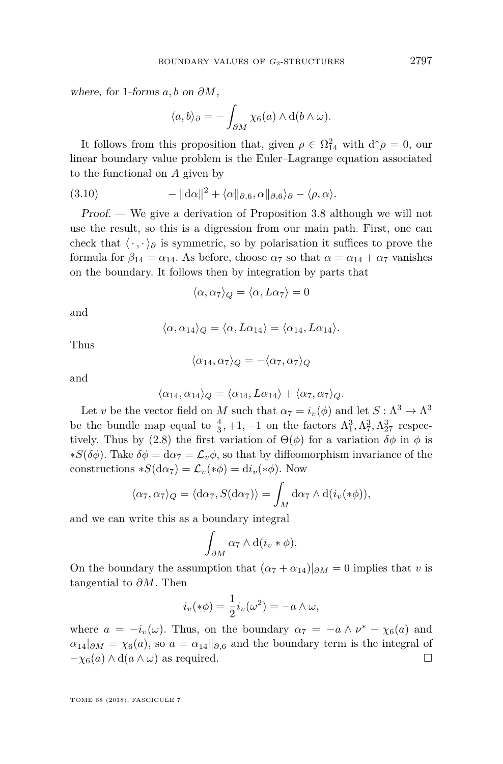where, for 1-forms *a, b* on *∂M*,

$$
\langle a,b\rangle_{\partial} = -\int_{\partial M} \chi_6(a) \wedge d(b \wedge \omega).
$$

It follows from this proposition that, given  $\rho \in \Omega_{14}^2$  with  $d^*\rho = 0$ , our linear boundary value problem is the Euler–Lagrange equation associated to the functional on *A* given by

(3.10) 
$$
-\|\mathrm{d}\alpha\|^2 + \langle \alpha\|_{\partial,6}, \alpha\|_{\partial,6}\rangle_{\partial} - \langle \rho, \alpha\rangle.
$$

Proof. — We give a derivation of Proposition [3.8](#page-14-0) although we will not use the result, so this is a digression from our main path. First, one can check that  $\langle \cdot, \cdot \rangle_{\partial}$  is symmetric, so by polarisation it suffices to prove the formula for  $\beta_{14} = \alpha_{14}$ . As before, choose  $\alpha_7$  so that  $\alpha = \alpha_{14} + \alpha_7$  vanishes on the boundary. It follows then by integration by parts that

$$
\langle \alpha, \alpha_7 \rangle_Q = \langle \alpha, L\alpha_7 \rangle = 0
$$

and

$$
\langle \alpha, \alpha_{14} \rangle_Q = \langle \alpha, L\alpha_{14} \rangle = \langle \alpha_{14}, L\alpha_{14} \rangle.
$$

Thus

$$
\langle \alpha_{14}, \alpha_7 \rangle_Q = -\langle \alpha_7, \alpha_7 \rangle_Q
$$

and

$$
\langle \alpha_{14}, \alpha_{14} \rangle_Q = \langle \alpha_{14}, L\alpha_{14} \rangle + \langle \alpha_7, \alpha_7 \rangle_Q.
$$

Let *v* be the vector field on *M* such that  $\alpha_7 = i_v(\phi)$  and let  $S : \Lambda^3 \to \Lambda^3$ be the bundle map equal to  $\frac{4}{3}$ , +1, -1 on the factors  $\Lambda_1^3$ ,  $\Lambda_7^3$ ,  $\Lambda_{27}^3$  respec-tively. Thus by [\(2.8\)](#page-4-4) the first variation of  $\Theta(\phi)$  for a variation  $\delta\phi$  in  $\phi$  is  $*S(\delta\phi)$ . Take  $\delta\phi = d\alpha_7 = \mathcal{L}_v\phi$ , so that by diffeomorphism invariance of the constructions  $*S(d\alpha_7) = \mathcal{L}_v(*\phi) = di_v(*\phi)$ . Now

$$
\langle \alpha_7, \alpha_7 \rangle_Q = \langle d\alpha_7, S(d\alpha_7) \rangle = \int_M d\alpha_7 \wedge d(i_v(*\phi)),
$$

and we can write this as a boundary integral

$$
\int_{\partial M} \alpha_7 \wedge d(i_v * \phi).
$$

On the boundary the assumption that  $(\alpha_7 + \alpha_{14})|_{\partial M} = 0$  implies that *v* is tangential to *∂M*. Then

$$
i_v(*\phi) = \frac{1}{2}i_v(\omega^2) = -a \wedge \omega,
$$

where  $a = -i_v(\omega)$ . Thus, on the boundary  $\alpha_7 = -a \wedge \nu^* - \chi_6(a)$  and  $\alpha_{14}|_{\partial M} = \chi_6(a)$ , so  $a = \alpha_{14}||_{\partial 6}$  and the boundary term is the integral of  $-\chi_6(a) \wedge d(a \wedge \omega)$  as required.

$$
^{2797}
$$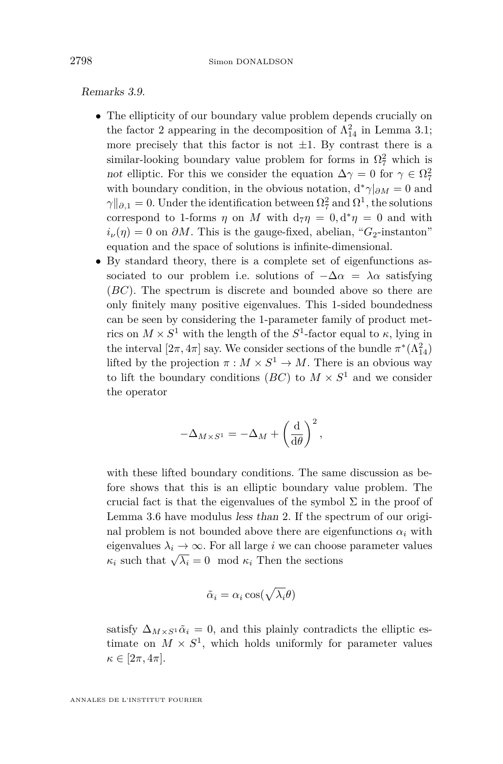Remarks 3.9.

- The ellipticity of our boundary value problem depends crucially on the factor 2 appearing in the decomposition of  $\Lambda_{14}^2$  in Lemma [3.1;](#page-9-0) more precisely that this factor is not  $\pm 1$ . By contrast there is a similar-looking boundary value problem for forms in  $\Omega^2$  which is not elliptic. For this we consider the equation  $\Delta \gamma = 0$  for  $\gamma \in \Omega^2$ with boundary condition, in the obvious notation,  $d^*\gamma|_{\partial M}=0$  and  $\gamma$ <sup> $\parallel$ </sup> $\partial$ ,1 = 0. Under the identification between  $\Omega^2$ <sub>7</sub> and  $\Omega^1$ , the solutions correspond to 1-forms  $\eta$  on M with  $d_7\eta = 0, d^*\eta = 0$  and with  $i_{\nu}(\eta) = 0$  on *∂M*. This is the gauge-fixed, abelian, "*G*<sub>2</sub>-instanton" equation and the space of solutions is infinite-dimensional.
- By standard theory, there is a complete set of eigenfunctions associated to our problem i.e. solutions of  $-\Delta \alpha = \lambda \alpha$  satisfying (*BC*). The spectrum is discrete and bounded above so there are only finitely many positive eigenvalues. This 1-sided boundedness can be seen by considering the 1-parameter family of product metrics on  $M \times S^1$  with the length of the  $S^1$ -factor equal to  $\kappa$ , lying in the interval  $[2\pi, 4\pi]$  say. We consider sections of the bundle  $\pi^*(\Lambda_{14}^2)$ lifted by the projection  $\pi : M \times S^1 \to M$ . There is an obvious way to lift the boundary conditions  $(BC)$  to  $M \times S^1$  and we consider the operator

$$
-\Delta_{M\times S^1}=-\Delta_M+\left(\frac{\mathrm{d}}{\mathrm{d}\theta}\right)^2,
$$

with these lifted boundary conditions. The same discussion as before shows that this is an elliptic boundary value problem. The crucial fact is that the eigenvalues of the symbol  $\Sigma$  in the proof of Lemma [3.6](#page-12-0) have modulus less than 2. If the spectrum of our original problem is not bounded above there are eigenfunctions  $\alpha_i$  with eigenvalues  $\lambda_i \to \infty$ . For all large *i* we can choose parameter values *κ*<sub>*i*</sub> such that  $\sqrt{\lambda_i} = 0 \mod \kappa_i$  Then the sections

$$
\tilde{\alpha}_i = \alpha_i \cos(\sqrt{\lambda_i} \theta)
$$

satisfy  $\Delta_{M\times S^1}\tilde{\alpha}_i = 0$ , and this plainly contradicts the elliptic estimate on  $M \times S^1$ , which holds uniformly for parameter values  $\kappa \in [2\pi, 4\pi].$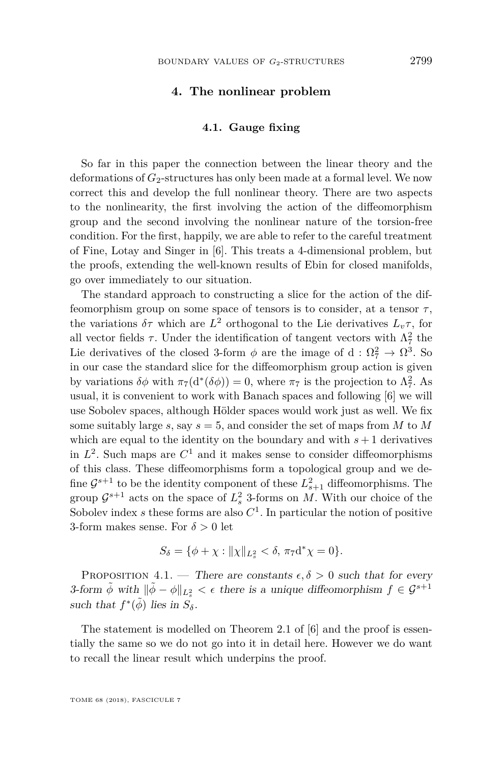#### **4. The nonlinear problem**

#### **4.1. Gauge fixing**

<span id="page-17-0"></span>So far in this paper the connection between the linear theory and the deformations of  $G_2$ -structures has only been made at a formal level. We now correct this and develop the full nonlinear theory. There are two aspects to the nonlinearity, the first involving the action of the diffeomorphism group and the second involving the nonlinear nature of the torsion-free condition. For the first, happily, we are able to refer to the careful treatment of Fine, Lotay and Singer in [\[6\]](#page-26-11). This treats a 4-dimensional problem, but the proofs, extending the well-known results of Ebin for closed manifolds, go over immediately to our situation.

The standard approach to constructing a slice for the action of the diffeomorphism group on some space of tensors is to consider, at a tensor  $\tau$ , the variations  $\delta \tau$  which are  $L^2$  orthogonal to the Lie derivatives  $L_v \tau$ , for all vector fields  $\tau$ . Under the identification of tangent vectors with  $\Lambda^2$  the Lie derivatives of the closed 3-form  $\phi$  are the image of d:  $\Omega_7^2 \to \Omega_3^3$ . So in our case the standard slice for the diffeomorphism group action is given by variations  $\delta\phi$  with  $\pi_7(d^*(\delta\phi)) = 0$ , where  $\pi_7$  is the projection to  $\Lambda^2_7$ . As usual, it is convenient to work with Banach spaces and following [\[6\]](#page-26-11) we will use Sobolev spaces, although Hölder spaces would work just as well. We fix some suitably large  $s$ , say  $s = 5$ , and consider the set of maps from  $M$  to  $M$ which are equal to the identity on the boundary and with  $s + 1$  derivatives in  $L^2$ . Such maps are  $C^1$  and it makes sense to consider diffeomorphisms of this class. These diffeomorphisms form a topological group and we define  $\mathcal{G}^{s+1}$  to be the identity component of these  $L_{s+1}^2$  diffeomorphisms. The group  $\mathcal{G}^{s+1}$  acts on the space of  $L_s^2$  3-forms on *M*. With our choice of the Sobolev index  $s$  these forms are also  $C<sup>1</sup>$ . In particular the notion of positive 3-form makes sense. For  $\delta > 0$  let

$$
S_{\delta} = \{ \phi + \chi : ||\chi||_{L^2_s} < \delta, \pi_7 \mathrm{d}^* \chi = 0 \}.
$$

PROPOSITION 4.1. — There are constants  $\epsilon, \delta > 0$  such that for every 3-form  $\tilde{\phi}$  with  $\|\tilde{\phi} - \phi\|_{L^2_s} < \epsilon$  there is a unique diffeomorphism  $f \in \mathcal{G}^{s+1}$ such that  $f^*(\tilde{\phi})$  lies in  $S_{\delta}$ .

The statement is modelled on Theorem 2.1 of [\[6\]](#page-26-11) and the proof is essentially the same so we do not go into it in detail here. However we do want to recall the linear result which underpins the proof.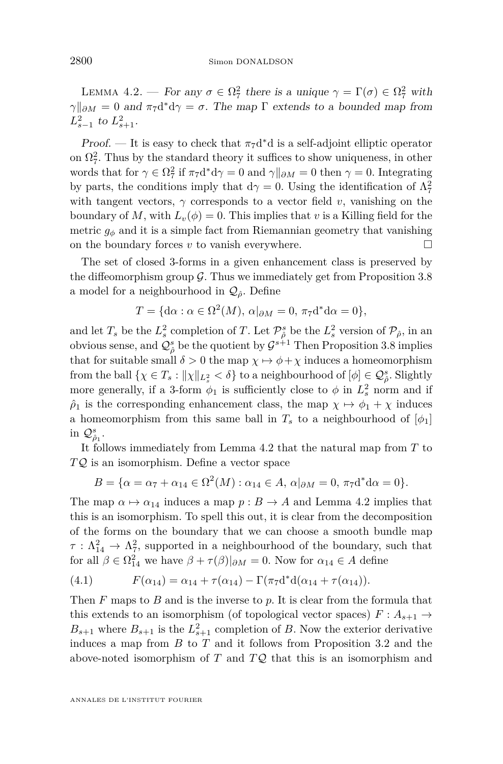<span id="page-18-0"></span>LEMMA 4.2. — For any  $\sigma \in \Omega^2_7$  there is a unique  $\gamma = \Gamma(\sigma) \in \Omega^2_7$  with  $\gamma$ <sup>n</sup> $\partial M$  = 0 and  $\pi$ <sub>7</sub>d<sup>\*</sup>d $\gamma$  = *σ*. The map  $\Gamma$  extends to a bounded map from  $L_{s-1}^2$  to  $L_{s+1}^2$ .

Proof. — It is easy to check that  $\pi_7 d^*d$  is a self-adjoint elliptic operator on  $\Omega^2$ . Thus by the standard theory it suffices to show uniqueness, in other words that for  $\gamma \in \Omega_7^2$  if  $\pi_7 d^* d\gamma = 0$  and  $\gamma ||_{\partial M} = 0$  then  $\gamma = 0$ . Integrating by parts, the conditions imply that  $d\gamma = 0$ . Using the identification of  $\Lambda^2$ with tangent vectors,  $\gamma$  corresponds to a vector field *v*, vanishing on the boundary of *M*, with  $L_v(\phi) = 0$ . This implies that *v* is a Killing field for the metric  $g_{\phi}$  and it is a simple fact from Riemannian geometry that vanishing on the boundary forces  $v$  to vanish everywhere.  $\Box$ 

The set of closed 3-forms in a given enhancement class is preserved by the diffeomorphism group  $\mathcal G$ . Thus we immediately get from Proposition [3.8](#page-14-0) a model for a neighbourhood in  $\mathcal{Q}_{\hat{\rho}}$ . Define

$$
T = \{d\alpha : \alpha \in \Omega^2(M), \alpha|_{\partial M} = 0, \pi_7 d^* d\alpha = 0\},\
$$

and let  $T_s$  be the  $L_s^2$  completion of *T*. Let  $\mathcal{P}^s_{\hat{\rho}}$  be the  $L_s^2$  version of  $\mathcal{P}_{\hat{\rho}}$ , in an obvious sense, and  $\mathcal{Q}_{\hat{\rho}}^s$  be the quotient by  $\mathcal{G}^{s+1}$  Then Proposition [3.8](#page-14-0) implies that for suitable small  $\delta > 0$  the map  $\chi \mapsto \phi + \chi$  induces a homeomorphism from the ball  $\{\chi \in T_s : ||\chi||_{L^2_s} < \delta\}$  to a neighbourhood of  $[\phi] \in \mathcal{Q}^s_{\hat{\rho}}$ . Slightly more generally, if a 3-form  $\phi_1$  is sufficiently close to  $\phi$  in  $L_s^2$  norm and if  $\hat{\rho}_1$  is the corresponding enhancement class, the map  $\chi \mapsto \phi_1 + \chi$  induces a homeomorphism from this same ball in  $T_s$  to a neighbourhood of  $[\phi_1]$ in  $\mathcal{Q}_{\hat{\rho}_1}^s$ .

It follows immediately from Lemma [4.2](#page-18-0) that the natural map from *T* to *T* Q is an isomorphism. Define a vector space

$$
B = \{ \alpha = \alpha_7 + \alpha_{14} \in \Omega^2(M) : \alpha_{14} \in A, \alpha|_{\partial M} = 0, \pi_7 d^* d\alpha = 0 \}.
$$

The map  $\alpha \mapsto \alpha_{14}$  induces a map  $p : B \to A$  and Lemma [4.2](#page-18-0) implies that this is an isomorphism. To spell this out, it is clear from the decomposition of the forms on the boundary that we can choose a smooth bundle map  $\tau : \Lambda^2_{14} \to \Lambda^2_{7}$ , supported in a neighbourhood of the boundary, such that for all  $\beta \in \Omega^2_{14}$  we have  $\beta + \tau(\beta)|_{\partial M} = 0$ . Now for  $\alpha_{14} \in A$  define

(4.1) 
$$
F(\alpha_{14}) = \alpha_{14} + \tau(\alpha_{14}) - \Gamma(\pi_7 d^* d(\alpha_{14} + \tau(\alpha_{14})).
$$

Then *F* maps to *B* and is the inverse to *p*. It is clear from the formula that this extends to an isomorphism (of topological vector spaces)  $F: A_{s+1} \to$  $B_{s+1}$  where  $B_{s+1}$  is the  $L_{s+1}^2$  completion of *B*. Now the exterior derivative induces a map from *B* to *T* and it follows from Proposition [3.2](#page-9-2) and the above-noted isomorphism of *T* and *T* Q that this is an isomorphism and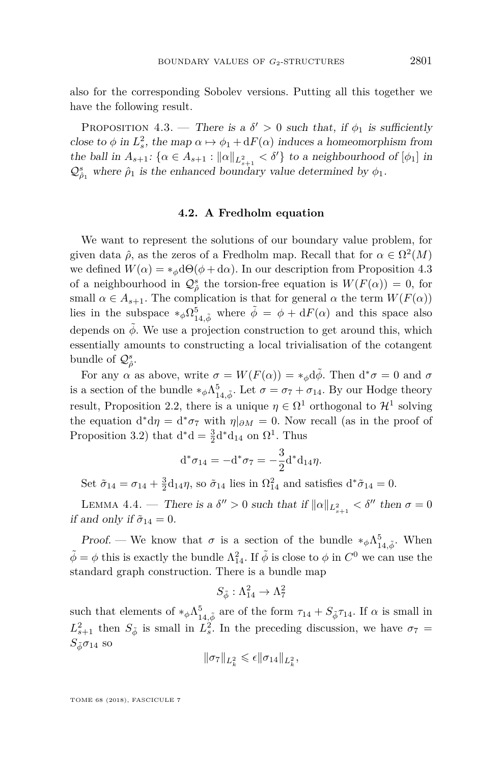also for the corresponding Sobolev versions. Putting all this together we have the following result.

<span id="page-19-0"></span>PROPOSITION 4.3. — There is a  $\delta' > 0$  such that, if  $\phi_1$  is sufficiently close to  $\phi$  in  $L_s^2$ , the map  $\alpha \mapsto \phi_1 + dF(\alpha)$  induces a homeomorphism from the ball in  $A_{s+1}$ :  $\{\alpha \in A_{s+1} : ||\alpha||_{L^2_{s+1}} < \delta'\}$  to a neighbourhood of  $[\phi_1]$  in  $\mathcal{Q}^s_{\hat{\rho}_1}$  where  $\hat{\rho}_1$  is the enhanced boundary value determined by  $\phi_1$ .

#### **4.2. A Fredholm equation**

We want to represent the solutions of our boundary value problem, for given data  $\hat{\rho}$ , as the zeros of a Fredholm map. Recall that for  $\alpha \in \Omega^2(M)$ we defined  $W(\alpha) = *_{\phi} d\Theta(\phi + d\alpha)$ . In our description from Proposition [4.3](#page-19-0) of a neighbourhood in  $\mathcal{Q}^s_\rho$  the torsion-free equation is  $W(F(\alpha)) = 0$ , for small  $\alpha \in A_{s+1}$ . The complication is that for general  $\alpha$  the term  $W(F(\alpha))$ lies in the subspace  $*_{\phi} \Omega_{14,\tilde{\phi}}^5$  where  $\tilde{\phi} = \phi + dF(\alpha)$  and this space also depends on  $\phi$ . We use a projection construction to get around this, which essentially amounts to constructing a local trivialisation of the cotangent bundle of  $\mathcal{Q}^s_{\hat{\rho}}$ .

For any  $\alpha$  as above, write  $\sigma = W(F(\alpha)) = *_{\phi} d\tilde{\phi}$ . Then  $d^*\sigma = 0$  and  $\sigma$ is a section of the bundle  $*_\phi \Lambda_{14, \tilde{\phi}}^5$ . Let  $\sigma = \sigma_7 + \sigma_{14}$ . By our Hodge theory result, Proposition [2.2,](#page-6-1) there is a unique  $\eta \in \Omega^1$  orthogonal to  $\mathcal{H}^1$  solving the equation  $d^*d\eta = d^*\sigma_7$  with  $\eta|_{\partial M} = 0$ . Now recall (as in the proof of Proposition [3.2\)](#page-9-2) that  $d^*d = \frac{3}{2}d^*d_{14}$  on  $\Omega^1$ . Thus

$$
d^*\sigma_{14} = -d^*\sigma_7 = -\frac{3}{2}d^*d_{14}\eta.
$$

Set  $\tilde{\sigma}_{14} = \sigma_{14} + \frac{3}{2}d_{14}\eta$ , so  $\tilde{\sigma}_{14}$  lies in  $\Omega_{14}^2$  and satisfies  $d^*\tilde{\sigma}_{14} = 0$ .

<span id="page-19-1"></span>LEMMA 4.4. — There is a  $\delta'' > 0$  such that if  $\|\alpha\|_{L^2_{s+1}} < \delta''$  then  $\sigma = 0$ if and only if  $\tilde{\sigma}_{14} = 0$ .

Proof. — We know that  $\sigma$  is a section of the bundle  $*_{\phi} \Lambda_{14, \tilde{\phi}}^5$ . When  $\tilde{\phi} = \phi$  this is exactly the bundle  $\Lambda_{14}^2$ . If  $\tilde{\phi}$  is close to  $\phi$  in  $C^0$  we can use the standard graph construction. There is a bundle map

$$
S_{\tilde{\phi}}:\Lambda^2_{14}\to \Lambda^2_7
$$

such that elements of  $*_{\phi} \Lambda_{14, \tilde{\phi}}^{5}$  are of the form  $\tau_{14} + S_{\tilde{\phi}} \tau_{14}$ . If  $\alpha$  is small in  $L_{s+1}^2$  then  $S_{\tilde{\phi}}$  is small in  $L_s^2$ . In the preceding discussion, we have  $\sigma_7 =$  $S_{\tilde{\phi}}\sigma_{14}$  so

$$
\|\sigma_7\|_{L^2_k} \leqslant \epsilon \|\sigma_{14}\|_{L^2_k},
$$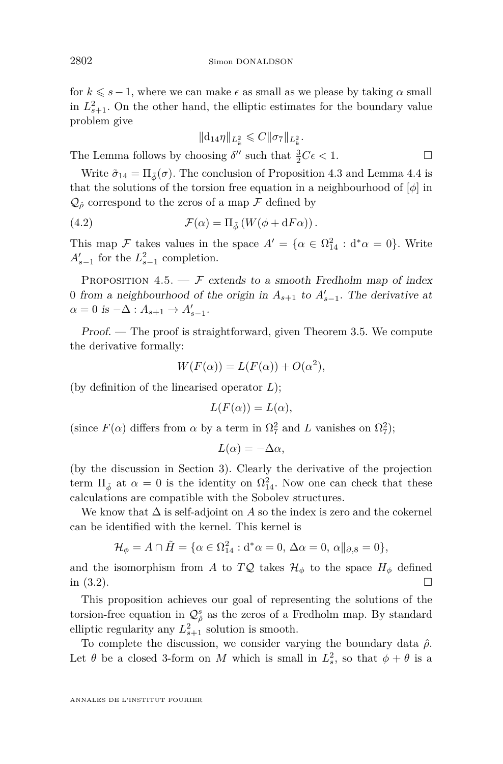for  $k \leq s - 1$ , where we can make  $\epsilon$  as small as we please by taking  $\alpha$  small in  $L_{s+1}^2$ . On the other hand, the elliptic estimates for the boundary value problem give

$$
\| {\mathrm{d}}_{14} \eta \|_{L^2_k} \leqslant C \| \sigma_7 \|_{L^2_k}.
$$

The Lemma follows by choosing  $\delta''$  such that  $\frac{3}{2}C\epsilon < 1$ .

Write  $\tilde{\sigma}_{14} = \Pi_{\tilde{\phi}}(\sigma)$ . The conclusion of Proposition [4.3](#page-19-0) and Lemma [4.4](#page-19-1) is that the solutions of the torsion free equation in a neighbourhood of [*φ*] in  $\mathcal{Q}_{\hat{\rho}}$  correspond to the zeros of a map  $\mathcal F$  defined by

(4.2) 
$$
\mathcal{F}(\alpha) = \Pi_{\tilde{\phi}} \left( W(\phi + dF\alpha) \right).
$$

This map  $\mathcal F$  takes values in the space  $A' = {\alpha \in \Omega^2_{14} : d^*\alpha = 0}.$  Write  $A'_{s-1}$  for the  $L_{s-1}^2$  completion.

<span id="page-20-0"></span>PROPOSITION 4.5.  $\mathcal{F}$  extends to a smooth Fredholm map of index 0 from a neighbourhood of the origin in  $A_{s+1}$  to  $A'_{s-1}$ . The derivative at  $\alpha = 0$  is  $-\Delta : A_{s+1} \to A'_{s-1}.$ 

Proof. — The proof is straightforward, given Theorem [3.5.](#page-11-0) We compute the derivative formally:

$$
W(F(\alpha)) = L(F(\alpha)) + O(\alpha^2),
$$

(by definition of the linearised operator *L*);

$$
L(F(\alpha)) = L(\alpha),
$$

(since  $F(\alpha)$  differs from  $\alpha$  by a term in  $\Omega_7^2$  and *L* vanishes on  $\Omega_7^2$ );

$$
L(\alpha) = -\Delta \alpha,
$$

(by the discussion in Section [3\)](#page-8-2). Clearly the derivative of the projection term  $\Pi_{\tilde{\phi}}$  at  $\alpha = 0$  is the identity on  $\Omega_{14}^2$ . Now one can check that these calculations are compatible with the Sobolev structures.

We know that  $\Delta$  is self-adjoint on  $A$  so the index is zero and the cokernel can be identified with the kernel. This kernel is

$$
\mathcal{H}_{\phi} = A \cap \tilde{H} = \{ \alpha \in \Omega^2_{14} : d^* \alpha = 0, \Delta \alpha = 0, \alpha \parallel_{\partial, 8} = 0 \},
$$

and the isomorphism from *A* to *TQ* takes  $\mathcal{H}_{\phi}$  to the space  $H_{\phi}$  defined in  $(3.2)$ .

This proposition achieves our goal of representing the solutions of the torsion-free equation in  $\mathcal{Q}^s_{\hat{\rho}}$  as the zeros of a Fredholm map. By standard elliptic regularity any  $L_{s+1}^2$  solution is smooth.

To complete the discussion, we consider varying the boundary data *ρ*ˆ. Let  $\theta$  be a closed 3-form on *M* which is small in  $L_s^2$ , so that  $\phi + \theta$  is a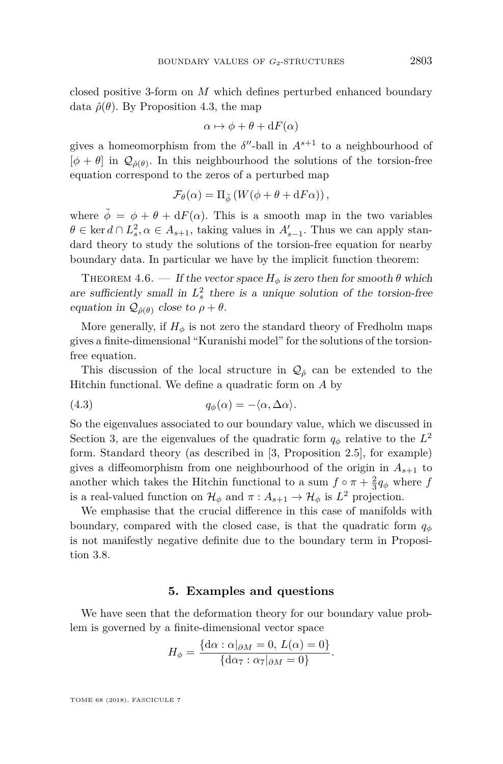closed positive 3-form on *M* which defines perturbed enhanced boundary data  $\hat{\rho}(\theta)$ . By Proposition [4.3,](#page-19-0) the map

$$
\alpha \mapsto \phi + \theta + dF(\alpha)
$$

gives a homeomorphism from the  $\delta''$ -ball in  $A^{s+1}$  to a neighbourhood of  $[\phi + \theta]$  in  $\mathcal{Q}_{\hat{\rho}(\theta)}$ . In this neighbourhood the solutions of the torsion-free equation correspond to the zeros of a perturbed map

$$
\mathcal{F}_{\theta}(\alpha) = \Pi_{\tilde{\phi}} \left( W(\phi + \theta + dF\alpha) \right),\,
$$

where  $\tilde{\phi} = \phi + \theta + dF(\alpha)$ . This is a smooth map in the two variables  $\theta \in \ker d \cap L_s^2, \alpha \in A_{s+1}$ , taking values in  $A'_{s-1}$ . Thus we can apply standard theory to study the solutions of the torsion-free equation for nearby boundary data. In particular we have by the implicit function theorem:

<span id="page-21-1"></span>THEOREM 4.6. — If the vector space  $H_{\phi}$  is zero then for smooth  $\theta$  which are sufficiently small in  $L_s^2$  there is a unique solution of the torsion-free equation in  $\mathcal{Q}_{\hat{\rho}(\theta)}$  close to  $\rho + \theta$ .

More generally, if  $H_{\phi}$  is not zero the standard theory of Fredholm maps gives a finite-dimensional "Kuranishi model" for the solutions of the torsionfree equation.

This discussion of the local structure in  $\mathcal{Q}_{\hat{\rho}}$  can be extended to the Hitchin functional. We define a quadratic form on *A* by

$$
(4.3) \t\t q_{\phi}(\alpha) = -\langle \alpha, \Delta \alpha \rangle.
$$

So the eigenvalues associated to our boundary value, which we discussed in Section [3,](#page-8-2) are the eigenvalues of the quadratic form  $q_{\phi}$  relative to the  $L^2$ form. Standard theory (as described in [\[3,](#page-26-12) Proposition 2.5], for example) gives a diffeomorphism from one neighbourhood of the origin in  $A_{s+1}$  to another which takes the Hitchin functional to a sum  $f \circ \pi + \frac{2}{3}q_{\phi}$  where *f* is a real-valued function on  $\mathcal{H}_{\phi}$  and  $\pi: A_{s+1} \to \mathcal{H}_{\phi}$  is  $L^2$  projection.

We emphasise that the crucial difference in this case of manifolds with boundary, compared with the closed case, is that the quadratic form  $q_{\phi}$ is not manifestly negative definite due to the boundary term in Proposition [3.8.](#page-14-0)

#### **5. Examples and questions**

<span id="page-21-0"></span>We have seen that the deformation theory for our boundary value problem is governed by a finite-dimensional vector space

$$
H_{\phi} = \frac{\{\mathrm{d}\alpha : \alpha|_{\partial M} = 0, L(\alpha) = 0\}}{\{\mathrm{d}\alpha_{7} : \alpha_{7}|_{\partial M} = 0\}}.
$$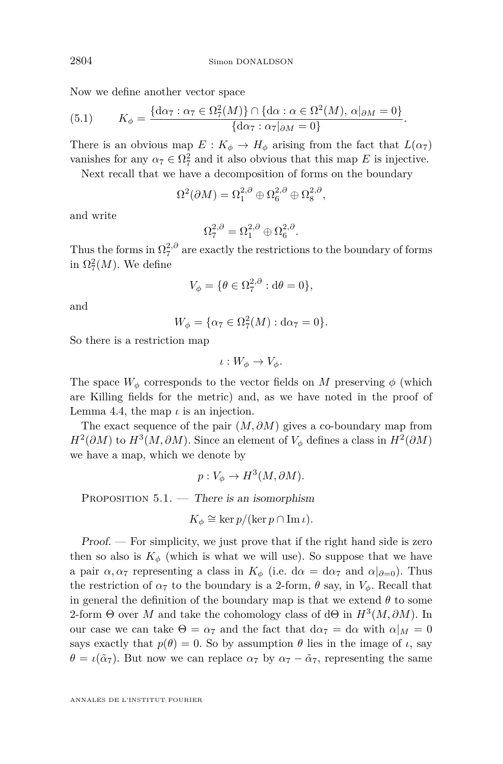Now we define another vector space

(5.1) 
$$
K_{\phi} = \frac{\{\mathrm{d}\alpha_{7} : \alpha_{7} \in \Omega_{7}^{2}(M)\} \cap \{\mathrm{d}\alpha : \alpha \in \Omega^{2}(M), \alpha|_{\partial M} = 0\}}{\{\mathrm{d}\alpha_{7} : \alpha_{7}\vert_{\partial M} = 0\}}.
$$

There is an obvious map  $E: K_{\phi} \to H_{\phi}$  arising from the fact that  $L(\alpha_7)$ vanishes for any  $\alpha_7 \in \Omega^2$  and it also obvious that this map *E* is injective.

Next recall that we have a decomposition of forms on the boundary

$$
\Omega^2(\partial M) = \Omega_1^{2,\partial} \oplus \Omega_6^{2,\partial} \oplus \Omega_8^{2,\partial},
$$

and write

$$
\Omega_7^{2,\partial} = \Omega_1^{2,\partial} \oplus \Omega_6^{2,\partial}.
$$

Thus the forms in  $\Omega_7^{2,0}$  are exactly the restrictions to the boundary of forms in  $\Omega^2_7(M)$ . We define

$$
V_{\phi} = \{ \theta \in \Omega^{2,\partial}_7 : d\theta = 0 \},\
$$

and

$$
W_{\phi} = \{\alpha_7 \in \Omega_7^2(M) : \mathrm{d}\alpha_7 = 0\}.
$$

So there is a restriction map

$$
\iota: W_{\phi} \to V_{\phi}.
$$

The space  $W_{\phi}$  corresponds to the vector fields on *M* preserving  $\phi$  (which are Killing fields for the metric) and, as we have noted in the proof of Lemma [4.4,](#page-19-1) the map  $\iota$  is an injection.

The exact sequence of the pair (*M, ∂M*) gives a co-boundary map from  $H^2(\partial M)$  to  $H^3(M, \partial M)$ . Since an element of  $V_\phi$  defines a class in  $H^2(\partial M)$ we have a map, which we denote by

$$
p: V_{\phi} \to H^3(M, \partial M).
$$

<span id="page-22-0"></span>PROPOSITION  $5.1.$  — There is an isomorphism

$$
K_{\phi} \cong \ker p/(\ker p \cap \operatorname{Im} \iota).
$$

Proof. — For simplicity, we just prove that if the right hand side is zero then so also is  $K_{\phi}$  (which is what we will use). So suppose that we have a pair  $\alpha, \alpha$ <sup>7</sup> representing a class in  $K_{\phi}$  (i.e.  $d\alpha = d\alpha$ <sup>7</sup> and  $\alpha|_{\partial=0}$ ). Thus the restriction of  $\alpha_7$  to the boundary is a 2-form,  $\theta$  say, in  $V_{\phi}$ . Recall that in general the definition of the boundary map is that we extend  $\theta$  to some 2-form  $\Theta$  over *M* and take the cohomology class of d $\Theta$  in  $H^3(M, \partial M)$ . In our case we can take  $\Theta = \alpha_7$  and the fact that  $d\alpha_7 = d\alpha$  with  $\alpha|_M = 0$ says exactly that  $p(\theta) = 0$ . So by assumption  $\theta$  lies in the image of *ι*, say  $\theta = \iota(\tilde{\alpha}_7)$ . But now we can replace  $\alpha_7$  by  $\alpha_7 - \tilde{\alpha}_7$ , representing the same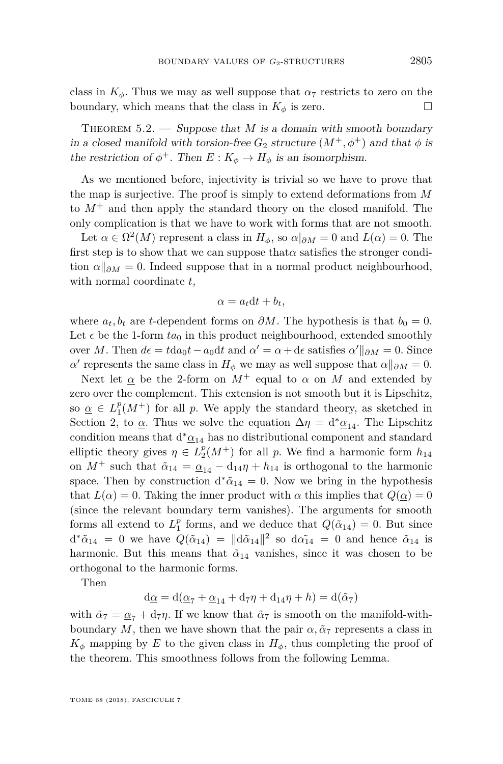class in  $K_{\phi}$ . Thus we may as well suppose that  $\alpha_7$  restricts to zero on the boundary, which means that the class in  $K_{\phi}$  is zero.

<span id="page-23-0"></span>THEOREM  $5.2.$  — Suppose that *M* is a domain with smooth boundary in a closed manifold with torsion-free  $G_2$  structure  $(M^+, \phi^+)$  and that  $\phi$  is the restriction of  $\phi^+$ . Then  $E: K_{\phi} \to H_{\phi}$  is an isomorphism.

As we mentioned before, injectivity is trivial so we have to prove that the map is surjective. The proof is simply to extend deformations from *M* to  $M^+$  and then apply the standard theory on the closed manifold. The only complication is that we have to work with forms that are not smooth.

Let  $\alpha \in \Omega^2(M)$  represent a class in  $H_{\phi}$ , so  $\alpha|_{\partial M} = 0$  and  $L(\alpha) = 0$ . The first step is to show that we can suppose that*α* satisfies the stronger condition  $\alpha\|_{\partial M}=0$ . Indeed suppose that in a normal product neighbourhood, with normal coordinate *t*,

$$
\alpha = a_t \mathrm{d}t + b_t,
$$

where  $a_t, b_t$  are *t*-dependent forms on  $\partial M$ . The hypothesis is that  $b_0 = 0$ . Let  $\epsilon$  be the 1-form  $ta_0$  in this product neighbourhood, extended smoothly over *M*. Then  $d\epsilon = t da_0 t - a_0 dt$  and  $\alpha' = \alpha + d\epsilon$  satisfies  $\alpha' \parallel_{\partial M} = 0$ . Since *α*<sup>*a*</sup> represents the same class in  $H_{\phi}$  we may as well suppose that  $\alpha||_{\partial M} = 0$ .

Next let  $\alpha$  be the 2-form on  $M^+$  equal to  $\alpha$  on  $M$  and extended by zero over the complement. This extension is not smooth but it is Lipschitz, so  $\underline{\alpha} \in L_1^p(M^+)$  for all *p*. We apply the standard theory, as sketched in Section [2,](#page-3-1) to  $\alpha$ . Thus we solve the equation  $\Delta \eta = d^* \alpha_{14}$ . The Lipschitz condition means that  $\mathrm{d}^*\underline{\alpha}_{14}$  has no distributional component and standard elliptic theory gives  $\eta \in L_2^p(M^+)$  for all *p*. We find a harmonic form  $h_{14}$ on  $M^+$  such that  $\tilde{\alpha}_{14} = \underline{\alpha}_{14} - d_{14}\eta + h_{14}$  is orthogonal to the harmonic space. Then by construction  $d^*\tilde{\alpha}_{14} = 0$ . Now we bring in the hypothesis that  $L(\alpha) = 0$ . Taking the inner product with  $\alpha$  this implies that  $Q(\alpha) = 0$ (since the relevant boundary term vanishes). The arguments for smooth forms all extend to  $L_1^p$  forms, and we deduce that  $Q(\tilde{\alpha}_{14}) = 0$ . But since  $d^*\tilde{\alpha}_{14} = 0$  we have  $Q(\tilde{\alpha}_{14}) = ||d\tilde{\alpha}_{14}||^2$  so  $d\tilde{\alpha}_{14} = 0$  and hence  $\tilde{\alpha}_{14}$  is harmonic. But this means that  $\tilde{\alpha}_{14}$  vanishes, since it was chosen to be orthogonal to the harmonic forms.

Then

$$
d\underline{\alpha} = d(\underline{\alpha}_7 + \underline{\alpha}_{14} + d_7\eta + d_{14}\eta + h) = d(\tilde{\alpha}_7)
$$

with  $\tilde{\alpha}_7 = \underline{\alpha}_7 + \mathrm{d}_7\eta$ . If we know that  $\tilde{\alpha}_7$  is smooth on the manifold-withboundary M, then we have shown that the pair  $\alpha$ ,  $\tilde{\alpha}$ <sup>7</sup> represents a class in  $K_{\phi}$  mapping by *E* to the given class in  $H_{\phi}$ , thus completing the proof of the theorem. This smoothness follows from the following Lemma.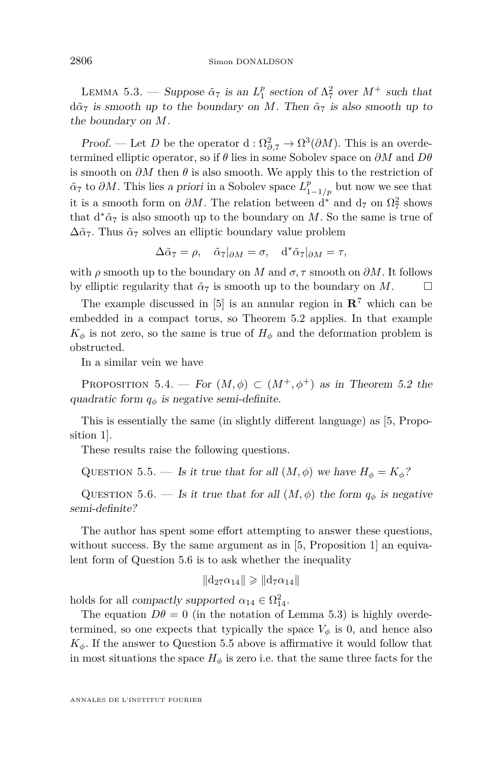<span id="page-24-1"></span>LEMMA 5.3. — Suppose  $\tilde{\alpha}_7$  is an  $L_1^p$  section of  $\Lambda_7^2$  over  $M^+$  such that  $d\tilde{\alpha}_7$  is smooth up to the boundary on *M*. Then  $\tilde{\alpha}_7$  is also smooth up to the boundary on *M*.

Proof. — Let *D* be the operator d:  $\Omega_{\partial,7}^2 \to \Omega^3(\partial M)$ . This is an overdetermined elliptic operator, so if *θ* lies in some Sobolev space on *∂M* and *Dθ* is smooth on *∂M* then *θ* is also smooth. We apply this to the restriction of  $\tilde{\alpha}_7$  to  $\partial M$ . This lies a priori in a Sobolev space  $L_{1-1/p}^p$  but now we see that it is a smooth form on  $\partial M$ . The relation between d<sup>\*</sup> and  $d_7$  on  $\Omega_7^2$  shows that  $d^*\tilde{\alpha}_7$  is also smooth up to the boundary on *M*. So the same is true of  $\Delta \tilde{\alpha}_7$ . Thus  $\tilde{\alpha}_7$  solves an elliptic boundary value problem

$$
\Delta \tilde{\alpha}_7 = \rho, \quad \tilde{\alpha}_7|_{\partial M} = \sigma, \quad d^* \tilde{\alpha}_7|_{\partial M} = \tau,
$$

with  $\rho$  smooth up to the boundary on *M* and  $\sigma$ ,  $\tau$  smooth on  $\partial M$ . It follows by elliptic regularity that  $\tilde{\alpha}_7$  is smooth up to the boundary on *M*.

The example discussed in [\[5\]](#page-26-5) is an annular region in  $\mathbb{R}^7$  which can be embedded in a compact torus, so Theorem [5.2](#page-23-0) applies. In that example  $K_{\phi}$  is not zero, so the same is true of  $H_{\phi}$  and the deformation problem is obstructed.

In a similar vein we have

PROPOSITION 5.4. — For  $(M, \phi) \subset (M^+, \phi^+)$  as in Theorem [5.2](#page-23-0) the quadratic form  $q_{\phi}$  is negative semi-definite.

This is essentially the same (in slightly different language) as [\[5,](#page-26-5) Proposition 1].

These results raise the following questions.

<span id="page-24-2"></span>QUESTION 5.5. — Is it true that for all  $(M, \phi)$  we have  $H_{\phi} = K_{\phi}$ ?

<span id="page-24-0"></span>QUESTION 5.6. — Is it true that for all  $(M, \phi)$  the form  $q_{\phi}$  is negative semi-definite?

The author has spent some effort attempting to answer these questions, without success. By the same argument as in [\[5,](#page-26-5) Proposition 1] an equivalent form of Question [5.6](#page-24-0) is to ask whether the inequality

 $\|\mathrm{d}_{27}\alpha_{14}\| \geqslant \|\mathrm{d}_{7}\alpha_{14}\|$ 

holds for all *compactly supported*  $\alpha_{14} \in \Omega_{14}^2$ .

The equation  $D\theta = 0$  (in the notation of Lemma [5.3\)](#page-24-1) is highly overdetermined, so one expects that typically the space  $V_{\phi}$  is 0, and hence also  $K_{\phi}$ . If the answer to Question [5.5](#page-24-2) above is affirmative it would follow that in most situations the space  $H_{\phi}$  is zero i.e. that the same three facts for the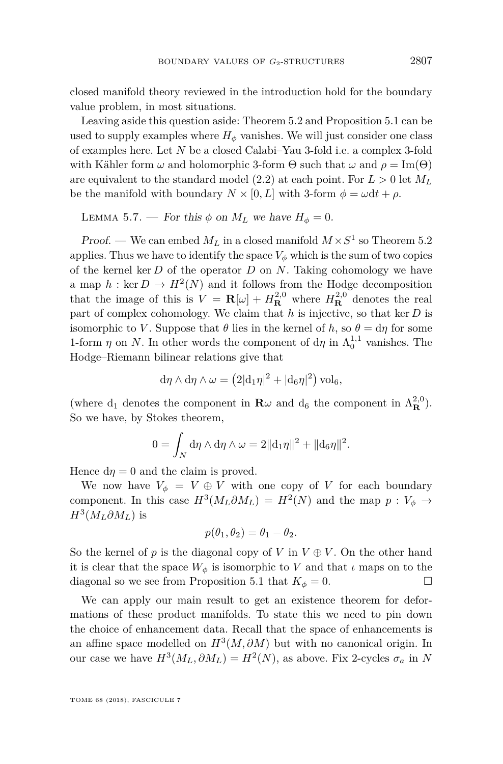closed manifold theory reviewed in the introduction hold for the boundary value problem, in most situations.

Leaving aside this question aside: Theorem [5.2](#page-23-0) and Proposition [5.1](#page-22-0) can be used to supply examples where  $H_{\phi}$  vanishes. We will just consider one class of examples here. Let *N* be a closed Calabi–Yau 3-fold i.e. a complex 3-fold with Kähler form  $\omega$  and holomorphic 3-form  $\Theta$  such that  $\omega$  and  $\rho = \text{Im}(\Theta)$ are equivalent to the standard model  $(2.2)$  at each point. For  $L > 0$  let  $M_L$ be the manifold with boundary  $N \times [0, L]$  with 3-form  $\phi = \omega dt + \rho$ .

LEMMA 5.7. — For this  $\phi$  on  $M_L$  we have  $H_{\phi} = 0$ .

Proof. — We can embed  $M_L$  in a closed manifold  $M \times S^1$  so Theorem [5.2](#page-23-0) applies. Thus we have to identify the space  $V_{\phi}$  which is the sum of two copies of the kernel ker *D* of the operator *D* on *N*. Taking cohomology we have a map  $h : \text{ker } D \to H^2(N)$  and it follows from the Hodge decomposition that the image of this is  $V = \mathbf{R}[\omega] + H_{\mathbf{R}}^{2,0}$  where  $H_{\mathbf{R}}^{2,0}$  denotes the real part of complex cohomology. We claim that *h* is injective, so that ker *D* is isomorphic to *V*. Suppose that  $\theta$  lies in the kernel of *h*, so  $\theta = d\eta$  for some 1-form  $\eta$  on *N*. In other words the component of d $\eta$  in  $\Lambda_0^{1,1}$  vanishes. The Hodge–Riemann bilinear relations give that

$$
\mathrm{d}\eta\wedge\mathrm{d}\eta\wedge\omega=\left(2|\mathrm{d}_1\eta|^2+|\mathrm{d}_6\eta|^2\right)\mathrm{vol}_6,
$$

(where  $d_1$  denotes the component in  $\mathbf{R}\omega$  and  $d_6$  the component in  $\Lambda_{\mathbf{R}}^{2,0}$ ). So we have, by Stokes theorem,

$$
0 = \int_N d\eta \wedge d\eta \wedge \omega = 2||d_1\eta||^2 + ||d_6\eta||^2.
$$

Hence  $d\eta = 0$  and the claim is proved.

We now have  $V_{\phi} = V \oplus V$  with one copy of *V* for each boundary component. In this case  $H^3(M_L \partial M_L) = H^2(N)$  and the map  $p: V_{\phi} \to$  $H^3(M_L \partial M_L)$  is

$$
p(\theta_1, \theta_2) = \theta_1 - \theta_2.
$$

So the kernel of *p* is the diagonal copy of *V* in  $V \oplus V$ . On the other hand it is clear that the space  $W_{\phi}$  is isomorphic to *V* and that *ι* maps on to the diagonal so we see from Proposition [5.1](#page-22-0) that  $K_{\phi} = 0$ .

We can apply our main result to get an existence theorem for deformations of these product manifolds. To state this we need to pin down the choice of enhancement data. Recall that the space of enhancements is an affine space modelled on  $H^3(M, \partial M)$  but with no canonical origin. In our case we have  $H^3(M_L, \partial M_L) = H^2(N)$ , as above. Fix 2-cycles  $\sigma_a$  in N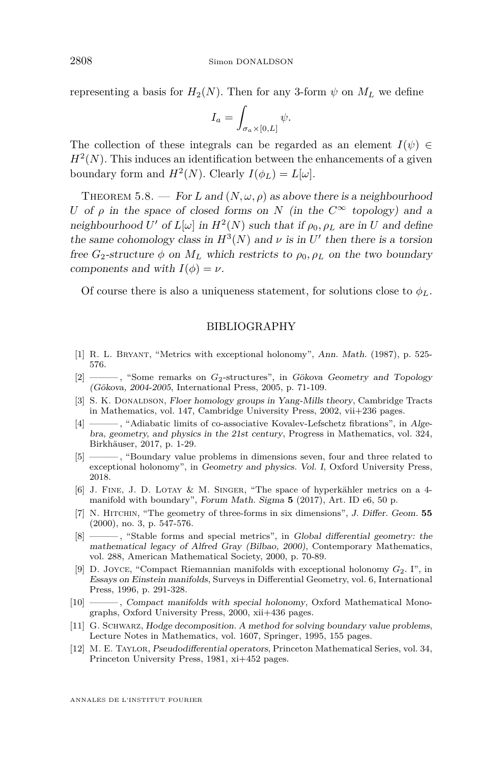representing a basis for  $H_2(N)$ . Then for any 3-form  $\psi$  on  $M_L$  we define

$$
I_a = \int_{\sigma_a \times [0,L]} \psi.
$$

The collection of these integrals can be regarded as an element  $I(\psi) \in$  $H<sup>2</sup>(N)$ . This induces an identification between the enhancements of a given boundary form and  $H^2(N)$ . Clearly  $I(\phi_L) = L[\omega]$ .

<span id="page-26-6"></span>THEOREM 5.8. — For L and  $(N, \omega, \rho)$  as above there is a neighbourhood *U* of  $\rho$  in the space of closed forms on *N* (in the  $C^{\infty}$  topology) and a neighbourhood *U*' of  $L[\omega]$  in  $H^2(N)$  such that if  $\rho_0, \rho_L$  are in *U* and define the same cohomology class in  $H^3(N)$  and  $\nu$  is in  $U'$  then there is a torsion free  $G_2$ -structure  $\phi$  on  $M_L$  which restricts to  $\rho_0$ ,  $\rho_L$  on the two boundary components and with  $I(\phi) = \nu$ .

Of course there is also a uniqueness statement, for solutions close to  $\phi_L$ .

#### BIBLIOGRAPHY

- <span id="page-26-0"></span>[1] R. L. Bryant, "Metrics with exceptional holonomy", Ann. Math. (1987), p. 525- 576.
- <span id="page-26-7"></span>[2] ——— , "Some remarks on *G*2-structures", in Gökova Geometry and Topology (Gökova, 2004-2005, International Press, 2005, p. 71-109.
- <span id="page-26-12"></span>[3] S. K. DONALDSON, Floer homology groups in Yang-Mills theory, Cambridge Tracts in Mathematics, vol. 147, Cambridge University Press, 2002, vii+236 pages.
- <span id="page-26-8"></span>[4] ———, "Adiabatic limits of co-associative Kovalev-Lefschetz fibrations", in Algebra, geometry, and physics in the 21st century, Progress in Mathematics, vol. 324, Birkhäuser, 2017, p. 1-29.
- <span id="page-26-5"></span>[5] ——— , "Boundary value problems in dimensions seven, four and three related to exceptional holonomy", in Geometry and physics. Vol. I, Oxford University Press, 2018.
- <span id="page-26-11"></span>[6] J. Fine, J. D. Lotay & M. Singer, "The space of hyperkähler metrics on a 4 manifold with boundary", Forum Math. Sigma **5** (2017), Art. ID e6, 50 p.
- <span id="page-26-3"></span>[7] N. Hitchin, "The geometry of three-forms in six dimensions", J. Differ. Geom. **55** (2000), no. 3, p. 547-576.
- <span id="page-26-4"></span>[8] ——— , "Stable forms and special metrics", in Global differential geometry: the mathematical legacy of Alfred Gray (Bilbao, 2000), Contemporary Mathematics, vol. 288, American Mathematical Society, 2000, p. 70-89.
- <span id="page-26-1"></span>[9] D. Joyce, "Compact Riemannian manifolds with exceptional holonomy *G*2. I", in Essays on Einstein manifolds, Surveys in Differential Geometry, vol. 6, International Press, 1996, p. 291-328.
- <span id="page-26-2"></span>[10] ——— , Compact manifolds with special holonomy, Oxford Mathematical Monographs, Oxford University Press, 2000, xii+436 pages.
- <span id="page-26-9"></span>[11] G. Schwarz, Hodge decomposition. A method for solving boundary value problems, Lecture Notes in Mathematics, vol. 1607, Springer, 1995, 155 pages.
- <span id="page-26-10"></span>[12] M. E. Taylor, Pseudodifferential operators, Princeton Mathematical Series, vol. 34, Princeton University Press, 1981, xi+452 pages.